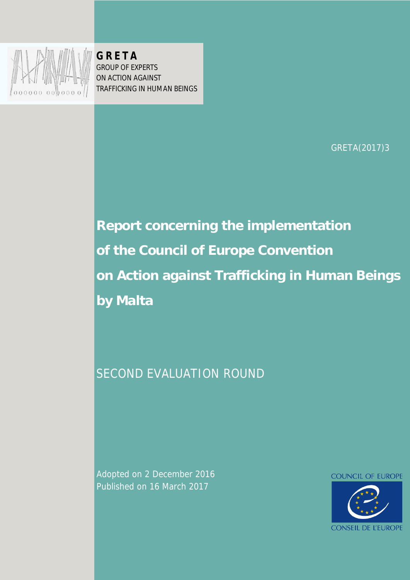

**G R E T A** GROUP OF EXPERTS ON ACTION AGAINST TRAFFICKING IN HUMAN BEINGS

GRETA(2017)3

# **Report concerning the implementation of the Council of Europe Convention on Action against Trafficking in Human Beings by Malta**

# SECOND EVALUATION ROUND

Adopted on 2 December 2016 Published on 16 March 2017

**COUNCIL OF EUROPE** 

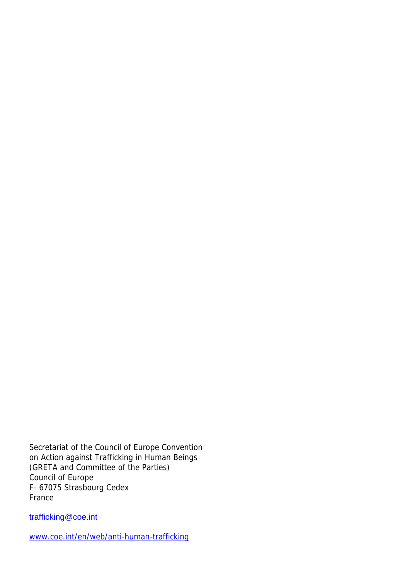Secretariat of the Council of Europe Convention on Action against Trafficking in Human Beings (GRETA and Committee of the Parties) Council of Europe F- 67075 Strasbourg Cedex France

[trafficking@coe.int](file:///D:/WINXP/Profiles/charbonnel/Local%20Settings/Temporary%20Internet%20Files/OLK6F/trafficking@coe.int)

[www.coe.int/en/web/anti-human-trafficking](http://www.coe.int/en/web/anti-human-trafficking)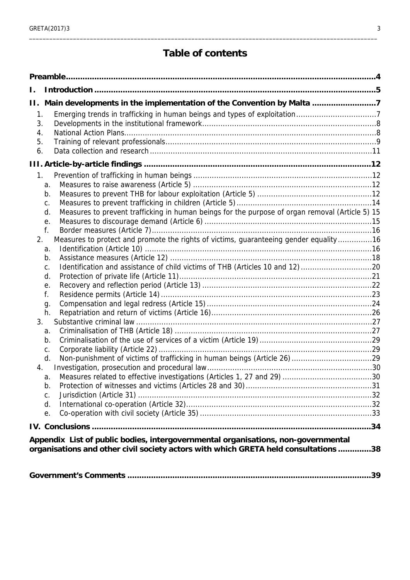# **Table of contents**

| H.,               | Main developments in the implementation of the Convention by Malta 7                                                                                                     |  |
|-------------------|--------------------------------------------------------------------------------------------------------------------------------------------------------------------------|--|
| 1.                |                                                                                                                                                                          |  |
| 3.                |                                                                                                                                                                          |  |
| 4.                |                                                                                                                                                                          |  |
| 5.<br>6.          |                                                                                                                                                                          |  |
|                   |                                                                                                                                                                          |  |
|                   |                                                                                                                                                                          |  |
| $1_{\cdot}$<br>a. |                                                                                                                                                                          |  |
| b.                |                                                                                                                                                                          |  |
| C.                |                                                                                                                                                                          |  |
| d.                | Measures to prevent trafficking in human beings for the purpose of organ removal (Article 5) 15                                                                          |  |
| е.                |                                                                                                                                                                          |  |
| f.                |                                                                                                                                                                          |  |
| 2.<br>a.          | Measures to protect and promote the rights of victims, guaranteeing gender equality16                                                                                    |  |
| b.                |                                                                                                                                                                          |  |
| C.                | Identification and assistance of child victims of THB (Articles 10 and 12) 20                                                                                            |  |
| d.                |                                                                                                                                                                          |  |
| е.                |                                                                                                                                                                          |  |
| f.                |                                                                                                                                                                          |  |
| g.                |                                                                                                                                                                          |  |
| h.<br>3.          |                                                                                                                                                                          |  |
| a.                |                                                                                                                                                                          |  |
| b.                |                                                                                                                                                                          |  |
| C.                |                                                                                                                                                                          |  |
| d.                |                                                                                                                                                                          |  |
| 4.                |                                                                                                                                                                          |  |
| a.<br>b.          |                                                                                                                                                                          |  |
| C.                |                                                                                                                                                                          |  |
| d.                |                                                                                                                                                                          |  |
| е.                |                                                                                                                                                                          |  |
|                   |                                                                                                                                                                          |  |
|                   |                                                                                                                                                                          |  |
|                   | Appendix List of public bodies, intergovernmental organisations, non-governmental<br>organisations and other civil society actors with which GRETA held consultations 38 |  |
|                   |                                                                                                                                                                          |  |
|                   |                                                                                                                                                                          |  |
|                   |                                                                                                                                                                          |  |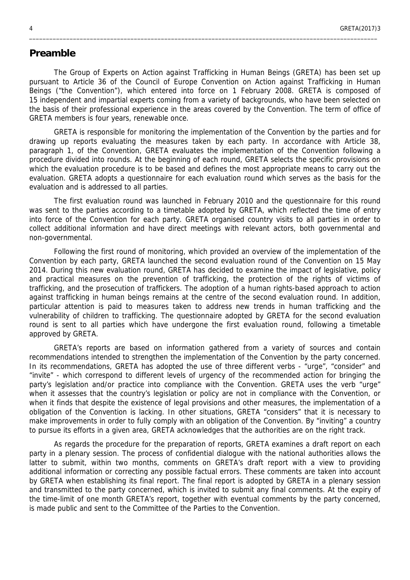#### <span id="page-3-0"></span>**Preamble**

The Group of Experts on Action against Trafficking in Human Beings (GRETA) has been set up pursuant to Article 36 of the Council of Europe Convention on Action against Trafficking in Human Beings ("the Convention"), which entered into force on 1 February 2008. GRETA is composed of 15 independent and impartial experts coming from a variety of backgrounds, who have been selected on the basis of their professional experience in the areas covered by the Convention. The term of office of GRETA members is four years, renewable once.

\_\_\_\_\_\_\_\_\_\_\_\_\_\_\_\_\_\_\_\_\_\_\_\_\_\_\_\_\_\_\_\_\_\_\_\_\_\_\_\_\_\_\_\_\_\_\_\_\_\_\_\_\_\_\_\_\_\_\_\_\_\_\_\_\_\_\_\_\_\_\_\_\_\_\_\_\_\_\_\_\_\_\_\_\_\_\_\_\_\_\_\_\_\_\_\_\_\_\_\_\_\_\_

GRETA is responsible for monitoring the implementation of the Convention by the parties and for drawing up reports evaluating the measures taken by each party. In accordance with Article 38, paragraph 1, of the Convention, GRETA evaluates the implementation of the Convention following a procedure divided into rounds. At the beginning of each round, GRETA selects the specific provisions on which the evaluation procedure is to be based and defines the most appropriate means to carry out the evaluation. GRETA adopts a questionnaire for each evaluation round which serves as the basis for the evaluation and is addressed to all parties.

The first evaluation round was launched in February 2010 and the questionnaire for this round was sent to the parties according to a timetable adopted by GRETA, which reflected the time of entry into force of the Convention for each party. GRETA organised country visits to all parties in order to collect additional information and have direct meetings with relevant actors, both governmental and non-governmental.

Following the first round of monitoring, which provided an overview of the implementation of the Convention by each party, GRETA launched the second evaluation round of the Convention on 15 May 2014. During this new evaluation round, GRETA has decided to examine the impact of legislative, policy and practical measures on the prevention of trafficking, the protection of the rights of victims of trafficking, and the prosecution of traffickers. The adoption of a human rights-based approach to action against trafficking in human beings remains at the centre of the second evaluation round. In addition, particular attention is paid to measures taken to address new trends in human trafficking and the vulnerability of children to trafficking. The questionnaire adopted by GRETA for the second evaluation round is sent to all parties which have undergone the first evaluation round, following a timetable approved by GRETA.

GRETA's reports are based on information gathered from a variety of sources and contain recommendations intended to strengthen the implementation of the Convention by the party concerned. In its recommendations, GRETA has adopted the use of three different verbs - "urge", "consider" and "invite" - which correspond to different levels of urgency of the recommended action for bringing the party's legislation and/or practice into compliance with the Convention. GRETA uses the verb "urge" when it assesses that the country's legislation or policy are not in compliance with the Convention, or when it finds that despite the existence of legal provisions and other measures, the implementation of a obligation of the Convention is lacking. In other situations, GRETA "considers" that it is necessary to make improvements in order to fully comply with an obligation of the Convention. By "inviting" a country to pursue its efforts in a given area, GRETA acknowledges that the authorities are on the right track.

As regards the procedure for the preparation of reports, GRETA examines a draft report on each party in a plenary session. The process of confidential dialogue with the national authorities allows the latter to submit, within two months, comments on GRETA's draft report with a view to providing additional information or correcting any possible factual errors. These comments are taken into account by GRETA when establishing its final report. The final report is adopted by GRETA in a plenary session and transmitted to the party concerned, which is invited to submit any final comments. At the expiry of the time-limit of one month GRETA's report, together with eventual comments by the party concerned, is made public and sent to the Committee of the Parties to the Convention.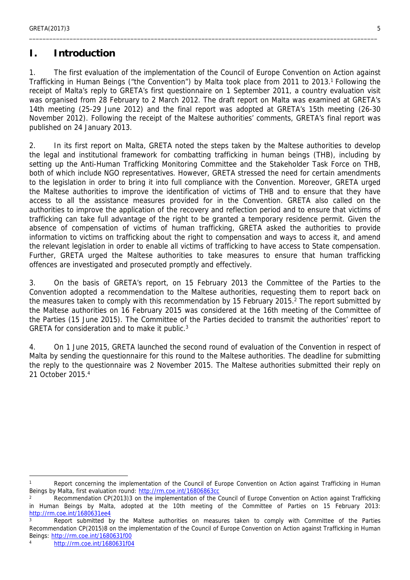### <span id="page-4-0"></span>**I. Introduction**

1. The first evaluation of the implementation of the Council of Europe Convention on Action against Trafficking in Human Beings ("the Convention") by Malta took place from 2011 to 2013.<sup>1</sup> Following the receipt of Malta's reply to GRETA's first questionnaire on 1 September 2011, a country evaluation visit was organised from 28 February to 2 March 2012. The draft report on Malta was examined at GRETA's 14th meeting (25-29 June 2012) and the final report was adopted at GRETA's 15th meeting (26-30 November 2012). Following the receipt of the Maltese authorities' comments, GRETA's final report was published on 24 January 2013.

\_\_\_\_\_\_\_\_\_\_\_\_\_\_\_\_\_\_\_\_\_\_\_\_\_\_\_\_\_\_\_\_\_\_\_\_\_\_\_\_\_\_\_\_\_\_\_\_\_\_\_\_\_\_\_\_\_\_\_\_\_\_\_\_\_\_\_\_\_\_\_\_\_\_\_\_\_\_\_\_\_\_\_\_\_\_\_\_\_\_\_\_\_\_\_\_\_\_\_\_\_\_\_

2. In its first report on Malta, GRETA noted the steps taken by the Maltese authorities to develop the legal and institutional framework for combatting trafficking in human beings (THB), including by setting up the Anti-Human Trafficking Monitoring Committee and the Stakeholder Task Force on THB, both of which include NGO representatives. However, GRETA stressed the need for certain amendments to the legislation in order to bring it into full compliance with the Convention. Moreover, GRETA urged the Maltese authorities to improve the identification of victims of THB and to ensure that they have access to all the assistance measures provided for in the Convention. GRETA also called on the authorities to improve the application of the recovery and reflection period and to ensure that victims of trafficking can take full advantage of the right to be granted a temporary residence permit. Given the absence of compensation of victims of human trafficking, GRETA asked the authorities to provide information to victims on trafficking about the right to compensation and ways to access it, and amend the relevant legislation in order to enable all victims of trafficking to have access to State compensation. Further, GRETA urged the Maltese authorities to take measures to ensure that human trafficking offences are investigated and prosecuted promptly and effectively.

3. On the basis of GRETA's report, on 15 February 2013 the Committee of the Parties to the Convention adopted a recommendation to the Maltese authorities, requesting them to report back on the measures taken to comply with this recommendation by 15 February 2015.<sup>2</sup> The report submitted by the Maltese authorities on 16 February 2015 was considered at the 16th meeting of the Committee of the Parties (15 June 2015). The Committee of the Parties decided to transmit the authorities' report to GRETA for consideration and to make it public.<sup>3</sup>

4. On 1 June 2015, GRETA launched the second round of evaluation of the Convention in respect of Malta by sending the questionnaire for this round to the Maltese authorities. The deadline for submitting the reply to the questionnaire was 2 November 2015. The Maltese authorities submitted their reply on 21 October 2015.<sup>4</sup>

<sup>1</sup> Report concerning the implementation of the Council of Europe Convention on Action against Trafficking in Human Beings by Malta, first evaluation round:<http://rm.coe.int/16806863cc>

<sup>2</sup> Recommendation CP(2013)3 on the implementation of the Council of Europe Convention on Action against Trafficking in Human Beings by Malta, adopted at the 10th meeting of the Committee of Parties on 15 February 2013: <http://rm.coe.int/1680631ee4>

<sup>3</sup> Report submitted by the Maltese authorities on measures taken to comply with Committee of the Parties Recommendation CP(2015)8 on the implementation of the Council of Europe Convention on Action against Trafficking in Human Beings: <http://rm.coe.int/1680631f00>

<sup>4</sup> <http://rm.coe.int/1680631f04>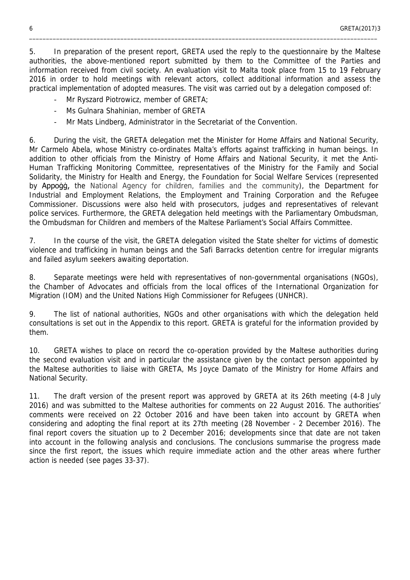5. In preparation of the present report, GRETA used the reply to the questionnaire by the Maltese authorities, the above-mentioned report submitted by them to the Committee of the Parties and information received from civil society. An evaluation visit to Malta took place from 15 to 19 February 2016 in order to hold meetings with relevant actors, collect additional information and assess the practical implementation of adopted measures. The visit was carried out by a delegation composed of:

\_\_\_\_\_\_\_\_\_\_\_\_\_\_\_\_\_\_\_\_\_\_\_\_\_\_\_\_\_\_\_\_\_\_\_\_\_\_\_\_\_\_\_\_\_\_\_\_\_\_\_\_\_\_\_\_\_\_\_\_\_\_\_\_\_\_\_\_\_\_\_\_\_\_\_\_\_\_\_\_\_\_\_\_\_\_\_\_\_\_\_\_\_\_\_\_\_\_\_\_\_\_\_

- Mr Ryszard Piotrowicz, member of GRETA;
- Ms Gulnara Shahinian, member of GRETA
- Mr Mats Lindberg, Administrator in the Secretariat of the Convention.

6. During the visit, the GRETA delegation met the Minister for Home Affairs and National Security, Mr Carmelo Abela, whose Ministry co-ordinates Malta's efforts against trafficking in human beings. In addition to other officials from the Ministry of Home Affairs and National Security, it met the Anti-Human Trafficking Monitoring Committee, representatives of the Ministry for the Family and Social Solidarity, the Ministry for Health and Energy, the Foundation for Social Welfare Services (represented by Appoġġ, the National Agency for children, families and the community), the Department for Industrial and Employment Relations, the Employment and Training Corporation and the Refugee Commissioner. Discussions were also held with prosecutors, judges and representatives of relevant police services. Furthermore, the GRETA delegation held meetings with the Parliamentary Ombudsman, the Ombudsman for Children and members of the Maltese Parliament's Social Affairs Committee.

7. In the course of the visit, the GRETA delegation visited the State shelter for victims of domestic violence and trafficking in human beings and the Safi Barracks detention centre for irregular migrants and failed asylum seekers awaiting deportation.

8. Separate meetings were held with representatives of non-governmental organisations (NGOs), the Chamber of Advocates and officials from the local offices of the International Organization for Migration (IOM) and the United Nations High Commissioner for Refugees (UNHCR).

9. The list of national authorities, NGOs and other organisations with which the delegation held consultations is set out in the Appendix to this report. GRETA is grateful for the information provided by them.

10. GRETA wishes to place on record the co-operation provided by the Maltese authorities during the second evaluation visit and in particular the assistance given by the contact person appointed by the Maltese authorities to liaise with GRETA, Ms Joyce Damato of the Ministry for Home Affairs and National Security.

11. The draft version of the present report was approved by GRETA at its 26th meeting (4-8 July 2016) and was submitted to the Maltese authorities for comments on 22 August 2016. The authorities' comments were received on 22 October 2016 and have been taken into account by GRETA when considering and adopting the final report at its 27th meeting (28 November - 2 December 2016). The final report covers the situation up to 2 December 2016; developments since that date are not taken into account in the following analysis and conclusions. The conclusions summarise the progress made since the first report, the issues which require immediate action and the other areas where further action is needed (see pages 33-37).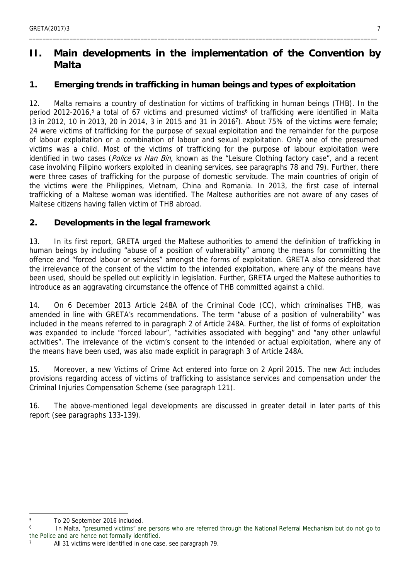# <span id="page-6-0"></span>**II. Main developments in the implementation of the Convention by Malta**

\_\_\_\_\_\_\_\_\_\_\_\_\_\_\_\_\_\_\_\_\_\_\_\_\_\_\_\_\_\_\_\_\_\_\_\_\_\_\_\_\_\_\_\_\_\_\_\_\_\_\_\_\_\_\_\_\_\_\_\_\_\_\_\_\_\_\_\_\_\_\_\_\_\_\_\_\_\_\_\_\_\_\_\_\_\_\_\_\_\_\_\_\_\_\_\_\_\_\_\_\_\_\_

#### <span id="page-6-1"></span>**1. Emerging trends in trafficking in human beings and types of exploitation**

12. Malta remains a country of destination for victims of trafficking in human beings (THB). In the period 2012-2016,<sup>5</sup> a total of 67 victims and presumed victims<sup>6</sup> of trafficking were identified in Malta (3 in 2012, 10 in 2013, 20 in 2014, 3 in 2015 and 31 in 2016<sup>7</sup> ). About 75% of the victims were female; 24 were victims of trafficking for the purpose of sexual exploitation and the remainder for the purpose of labour exploitation or a combination of labour and sexual exploitation. Only one of the presumed victims was a child. Most of the victims of trafficking for the purpose of labour exploitation were identified in two cases (*Police vs Han Bin*, known as the "Leisure Clothing factory case", and a recent case involving Filipino workers exploited in cleaning services, see paragraphs 78 and 79). Further, there were three cases of trafficking for the purpose of domestic servitude. The main countries of origin of the victims were the Philippines, Vietnam, China and Romania. In 2013, the first case of internal trafficking of a Maltese woman was identified. The Maltese authorities are not aware of any cases of Maltese citizens having fallen victim of THB abroad.

#### **2. Developments in the legal framework**

13. In its first report, GRETA urged the Maltese authorities to amend the definition of trafficking in human beings by including "abuse of a position of vulnerability" among the means for committing the offence and "forced labour or services" amongst the forms of exploitation. GRETA also considered that the irrelevance of the consent of the victim to the intended exploitation, where any of the means have been used, should be spelled out explicitly in legislation. Further, GRETA urged the Maltese authorities to introduce as an aggravating circumstance the offence of THB committed against a child.

14. On 6 December 2013 Article 248A of the Criminal Code (CC), which criminalises THB, was amended in line with GRETA's recommendations. The term "abuse of a position of vulnerability" was included in the means referred to in paragraph 2 of Article 248A. Further, the list of forms of exploitation was expanded to include "forced labour", "activities associated with begging" and "any other unlawful activities". The irrelevance of the victim's consent to the intended or actual exploitation, where any of the means have been used, was also made explicit in paragraph 3 of Article 248A.

15. Moreover, a new Victims of Crime Act entered into force on 2 April 2015. The new Act includes provisions regarding access of victims of trafficking to assistance services and compensation under the Criminal Injuries Compensation Scheme (see paragraph 121).

16. The above-mentioned legal developments are discussed in greater detail in later parts of this report (see paragraphs 133-139).

<sup>5</sup> To 20 September 2016 included.

<sup>6</sup> In Malta, "presumed victims" are persons who are referred through the National Referral Mechanism but do not go to the Police and are hence not formally identified. 7

All 31 victims were identified in one case, see paragraph 79.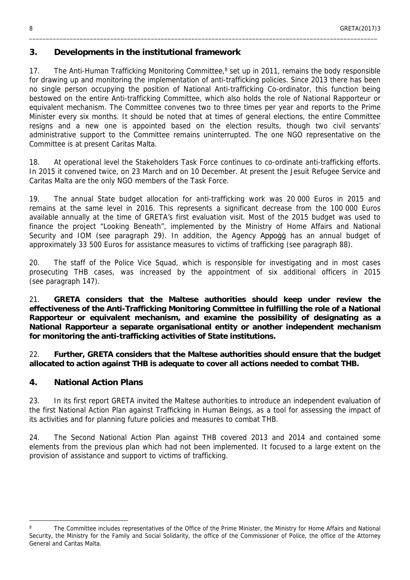#### <span id="page-7-0"></span>**3. Developments in the institutional framework**

17. The Anti-Human Trafficking Monitoring Committee,<sup>8</sup> set up in 2011, remains the body responsible for drawing up and monitoring the implementation of anti-trafficking policies. Since 2013 there has been no single person occupying the position of National Anti-trafficking Co-ordinator, this function being bestowed on the entire Anti-trafficking Committee, which also holds the role of National Rapporteur or equivalent mechanism. The Committee convenes two to three times per year and reports to the Prime Minister every six months. It should be noted that at times of general elections, the entire Committee resigns and a new one is appointed based on the election results, though two civil servants' administrative support to the Committee remains uninterrupted. The one NGO representative on the Committee is at present Caritas Malta.

18. At operational level the Stakeholders Task Force continues to co-ordinate anti-trafficking efforts. In 2015 it convened twice, on 23 March and on 10 December. At present the Jesuit Refugee Service and Caritas Malta are the only NGO members of the Task Force.

19. The annual State budget allocation for anti-trafficking work was 20 000 Euros in 2015 and remains at the same level in 2016. This represents a significant decrease from the 100 000 Euros available annually at the time of GRETA's first evaluation visit. Most of the 2015 budget was used to finance the project "Looking Beneath", implemented by the Ministry of Home Affairs and National Security and IOM (see paragraph 29). In addition, the Agency Appogg has an annual budget of approximately 33 500 Euros for assistance measures to victims of trafficking (see paragraph 88).

20. The staff of the Police Vice Squad, which is responsible for investigating and in most cases prosecuting THB cases, was increased by the appointment of six additional officers in 2015 (see paragraph 147).

21. **GRETA considers that the Maltese authorities should keep under review the effectiveness of the Anti-Trafficking Monitoring Committee in fulfilling the role of a National Rapporteur or equivalent mechanism, and examine the possibility of designating as a National Rapporteur a separate organisational entity or another independent mechanism for monitoring the anti-trafficking activities of State institutions.**

22. **Further, GRETA considers that the Maltese authorities should ensure that the budget allocated to action against THB is adequate to cover all actions needed to combat THB.**

#### <span id="page-7-1"></span>**4. National Action Plans**

23. In its first report GRETA invited the Maltese authorities to introduce an independent evaluation of the first National Action Plan against Trafficking in Human Beings, as a tool for assessing the impact of its activities and for planning future policies and measures to combat THB.

24. The Second National Action Plan against THB covered 2013 and 2014 and contained some elements from the previous plan which had not been implemented. It focused to a large extent on the provision of assistance and support to victims of trafficking.

<sup>8</sup> The Committee includes representatives of the Office of the Prime Minister, the Ministry for Home Affairs and National Security, the Ministry for the Family and Social Solidarity, the office of the Commissioner of Police, the office of the Attorney General and Caritas Malta.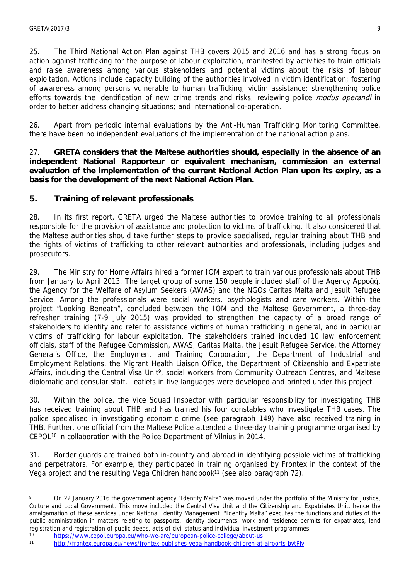25. The Third National Action Plan against THB covers 2015 and 2016 and has a strong focus on action against trafficking for the purpose of labour exploitation, manifested by activities to train officials and raise awareness among various stakeholders and potential victims about the risks of labour exploitation. Actions include capacity building of the authorities involved in victim identification; fostering of awareness among persons vulnerable to human trafficking; victim assistance; strengthening police efforts towards the identification of new crime trends and risks; reviewing police *modus operandi* in order to better address changing situations; and international co-operation.

\_\_\_\_\_\_\_\_\_\_\_\_\_\_\_\_\_\_\_\_\_\_\_\_\_\_\_\_\_\_\_\_\_\_\_\_\_\_\_\_\_\_\_\_\_\_\_\_\_\_\_\_\_\_\_\_\_\_\_\_\_\_\_\_\_\_\_\_\_\_\_\_\_\_\_\_\_\_\_\_\_\_\_\_\_\_\_\_\_\_\_\_\_\_\_\_\_\_\_\_\_\_\_

26. Apart from periodic internal evaluations by the Anti-Human Trafficking Monitoring Committee, there have been no independent evaluations of the implementation of the national action plans.

27. **GRETA considers that the Maltese authorities should, especially in the absence of an independent National Rapporteur or equivalent mechanism, commission an external evaluation of the implementation of the current National Action Plan upon its expiry, as a basis for the development of the next National Action Plan.**

<span id="page-8-0"></span>**5. Training of relevant professionals**

28. In its first report, GRETA urged the Maltese authorities to provide training to all professionals responsible for the provision of assistance and protection to victims of trafficking. It also considered that the Maltese authorities should take further steps to provide specialised, regular training about THB and the rights of victims of trafficking to other relevant authorities and professionals, including judges and prosecutors.

29. The Ministry for Home Affairs hired a former IOM expert to train various professionals about THB from January to April 2013. The target group of some 150 people included staff of the Agency Appoġġ, the Agency for the Welfare of Asylum Seekers (AWAS) and the NGOs Caritas Malta and Jesuit Refugee Service. Among the professionals were social workers, psychologists and care workers. Within the project "Looking Beneath", concluded between the IOM and the Maltese Government, a three-day refresher training (7-9 July 2015) was provided to strengthen the capacity of a broad range of stakeholders to identify and refer to assistance victims of human trafficking in general, and in particular victims of trafficking for labour exploitation. The stakeholders trained included 10 law enforcement officials, staff of the Refugee Commission, AWAS, Caritas Malta, the Jesuit Refugee Service, the Attorney General's Office, the Employment and Training Corporation, the Department of Industrial and Employment Relations, the Migrant Health Liaison Office, the Department of Citizenship and Expatriate Affairs, including the Central Visa Unit<sup>9</sup>, social workers from Community Outreach Centres, and Maltese diplomatic and consular staff. Leaflets in five languages were developed and printed under this project.

30. Within the police, the Vice Squad Inspector with particular responsibility for investigating THB has received training about THB and has trained his four constables who investigate THB cases. The police specialised in investigating economic crime (see paragraph 149) have also received training in THB. Further, one official from the Maltese Police attended a three-day training programme organised by CEPOL<sup>10</sup> in collaboration with the Police Department of Vilnius in 2014.

31. Border guards are trained both in-country and abroad in identifying possible victims of trafficking and perpetrators. For example, they participated in training organised by Frontex in the context of the Vega project and the resulting Vega Children handbook<sup>11</sup> (see also paragraph 72).

 $\circ$  On 22 January 2016 the government agency "Identity Malta" was moved under the portfolio of the Ministry for Justice, Culture and Local Government. This move included the Central Visa Unit and the Citizenship and Expatriates Unit, hence the amalgamation of these services under National Identity Management. "Identity Malta" executes the functions and duties of the public administration in matters relating to passports, identity documents, work and residence permits for expatriates, land registration and registration of public deeds, acts of civil status and individual investment programmes.

<sup>10</sup> <https://www.cepol.europa.eu/who-we-are/european-police-college/about-us>

<sup>11</sup> <http://frontex.europa.eu/news/frontex-publishes-vega-handbook-children-at-airports-bvtPly>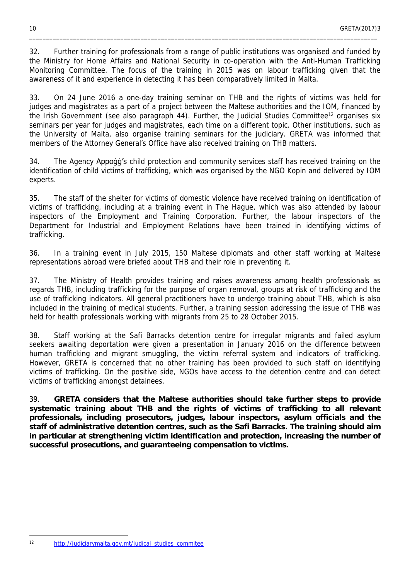32. Further training for professionals from a range of public institutions was organised and funded by the Ministry for Home Affairs and National Security in co-operation with the Anti-Human Trafficking Monitoring Committee. The focus of the training in 2015 was on labour trafficking given that the awareness of it and experience in detecting it has been comparatively limited in Malta.

\_\_\_\_\_\_\_\_\_\_\_\_\_\_\_\_\_\_\_\_\_\_\_\_\_\_\_\_\_\_\_\_\_\_\_\_\_\_\_\_\_\_\_\_\_\_\_\_\_\_\_\_\_\_\_\_\_\_\_\_\_\_\_\_\_\_\_\_\_\_\_\_\_\_\_\_\_\_\_\_\_\_\_\_\_\_\_\_\_\_\_\_\_\_\_\_\_\_\_\_\_\_\_

33. On 24 June 2016 a one-day training seminar on THB and the rights of victims was held for judges and magistrates as a part of a project between the Maltese authorities and the IOM, financed by the Irish Government (see also paragraph 44). Further, the Judicial Studies Committee<sup>12</sup> organises six seminars per year for judges and magistrates, each time on a different topic. Other institutions, such as the University of Malta, also organise training seminars for the judiciary. GRETA was informed that members of the Attorney General's Office have also received training on THB matters.

34. The Agency Appoġġ's child protection and community services staff has received training on the identification of child victims of trafficking, which was organised by the NGO Kopin and delivered by IOM experts.

35. The staff of the shelter for victims of domestic violence have received training on identification of victims of trafficking, including at a training event in The Hague, which was also attended by labour inspectors of the Employment and Training Corporation. Further, the labour inspectors of the Department for Industrial and Employment Relations have been trained in identifying victims of trafficking.

36. In a training event in July 2015, 150 Maltese diplomats and other staff working at Maltese representations abroad were briefed about THB and their role in preventing it.

37. The Ministry of Health provides training and raises awareness among health professionals as regards THB, including trafficking for the purpose of organ removal, groups at risk of trafficking and the use of trafficking indicators. All general practitioners have to undergo training about THB, which is also included in the training of medical students. Further, a training session addressing the issue of THB was held for health professionals working with migrants from 25 to 28 October 2015.

38. Staff working at the Safi Barracks detention centre for irregular migrants and failed asylum seekers awaiting deportation were given a presentation in January 2016 on the difference between human trafficking and migrant smuggling, the victim referral system and indicators of trafficking. However, GRETA is concerned that no other training has been provided to such staff on identifying victims of trafficking. On the positive side, NGOs have access to the detention centre and can detect victims of trafficking amongst detainees.

39. **GRETA considers that the Maltese authorities should take further steps to provide systematic training about THB and the rights of victims of trafficking to all relevant professionals, including prosecutors, judges, labour inspectors, asylum officials and the staff of administrative detention centres, such as the Safi Barracks. The training should aim in particular at strengthening victim identification and protection, increasing the number of successful prosecutions, and guaranteeing compensation to victims.**

<sup>12</sup> [http://judiciarymalta.gov.mt/judical\\_studies\\_commitee](http://judiciarymalta.gov.mt/judical_studies_commitee)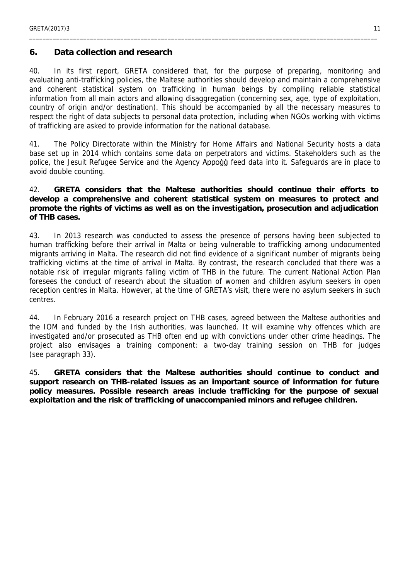#### <span id="page-10-0"></span>**6. Data collection and research**

40. In its first report, GRETA considered that, for the purpose of preparing, monitoring and evaluating anti-trafficking policies, the Maltese authorities should develop and maintain a comprehensive and coherent statistical system on trafficking in human beings by compiling reliable statistical information from all main actors and allowing disaggregation (concerning sex, age, type of exploitation, country of origin and/or destination). This should be accompanied by all the necessary measures to respect the right of data subjects to personal data protection, including when NGOs working with victims of trafficking are asked to provide information for the national database.

\_\_\_\_\_\_\_\_\_\_\_\_\_\_\_\_\_\_\_\_\_\_\_\_\_\_\_\_\_\_\_\_\_\_\_\_\_\_\_\_\_\_\_\_\_\_\_\_\_\_\_\_\_\_\_\_\_\_\_\_\_\_\_\_\_\_\_\_\_\_\_\_\_\_\_\_\_\_\_\_\_\_\_\_\_\_\_\_\_\_\_\_\_\_\_\_\_\_\_\_\_\_\_

41. The Policy Directorate within the Ministry for Home Affairs and National Security hosts a data base set up in 2014 which contains some data on perpetrators and victims. Stakeholders such as the police, the Jesuit Refugee Service and the Agency Appogg feed data into it. Safeguards are in place to avoid double counting.

42. **GRETA considers that the Maltese authorities should continue their efforts to develop a comprehensive and coherent statistical system on measures to protect and promote the rights of victims as well as on the investigation, prosecution and adjudication of THB cases.**

43. In 2013 research was conducted to assess the presence of persons having been subjected to human trafficking before their arrival in Malta or being vulnerable to trafficking among undocumented migrants arriving in Malta. The research did not find evidence of a significant number of migrants being trafficking victims at the time of arrival in Malta. By contrast, the research concluded that there was a notable risk of irregular migrants falling victim of THB in the future. The current National Action Plan foresees the conduct of research about the situation of women and children asylum seekers in open reception centres in Malta. However, at the time of GRETA's visit, there were no asylum seekers in such centres.

44. In February 2016 a research project on THB cases, agreed between the Maltese authorities and the IOM and funded by the Irish authorities, was launched. It will examine why offences which are investigated and/or prosecuted as THB often end up with convictions under other crime headings. The project also envisages a training component: a two-day training session on THB for judges (see paragraph 33).

45. **GRETA considers that the Maltese authorities should continue to conduct and support research on THB-related issues as an important source of information for future policy measures. Possible research areas include trafficking for the purpose of sexual exploitation and the risk of trafficking of unaccompanied minors and refugee children.**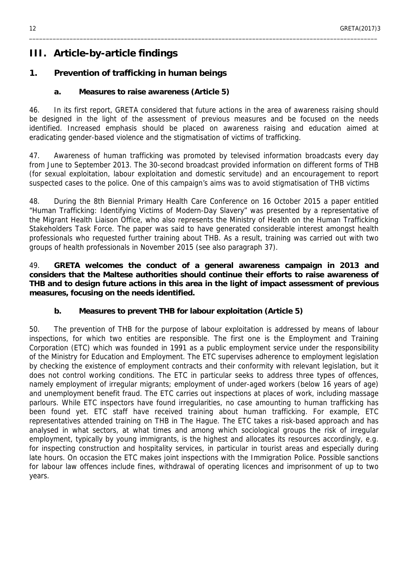# <span id="page-11-0"></span>**III. Article-by-article findings**

#### <span id="page-11-1"></span>**1. Prevention of trafficking in human beings**

<span id="page-11-2"></span>**a. Measures to raise awareness (Article 5)**

46. In its first report, GRETA considered that future actions in the area of awareness raising should be designed in the light of the assessment of previous measures and be focused on the needs identified. Increased emphasis should be placed on awareness raising and education aimed at eradicating gender-based violence and the stigmatisation of victims of trafficking.

\_\_\_\_\_\_\_\_\_\_\_\_\_\_\_\_\_\_\_\_\_\_\_\_\_\_\_\_\_\_\_\_\_\_\_\_\_\_\_\_\_\_\_\_\_\_\_\_\_\_\_\_\_\_\_\_\_\_\_\_\_\_\_\_\_\_\_\_\_\_\_\_\_\_\_\_\_\_\_\_\_\_\_\_\_\_\_\_\_\_\_\_\_\_\_\_\_\_\_\_\_\_\_

47. Awareness of human trafficking was promoted by televised information broadcasts every day from June to September 2013. The 30-second broadcast provided information on different forms of THB (for sexual exploitation, labour exploitation and domestic servitude) and an encouragement to report suspected cases to the police. One of this campaign's aims was to avoid stigmatisation of THB victims

48. During the 8th Biennial Primary Health Care Conference on 16 October 2015 a paper entitled "Human Trafficking: Identifying Victims of Modern-Day Slavery" was presented by a representative of the Migrant Health Liaison Office, who also represents the Ministry of Health on the Human Trafficking Stakeholders Task Force. The paper was said to have generated considerable interest amongst health professionals who requested further training about THB. As a result, training was carried out with two groups of health professionals in November 2015 (see also paragraph 37).

49. **GRETA welcomes the conduct of a general awareness campaign in 2013 and considers that the Maltese authorities should continue their efforts to raise awareness of THB and to design future actions in this area in the light of impact assessment of previous measures, focusing on the needs identified.**

<span id="page-11-3"></span>**b. Measures to prevent THB for labour exploitation (Article 5)**

50. The prevention of THB for the purpose of labour exploitation is addressed by means of labour inspections, for which two entities are responsible. The first one is the Employment and Training Corporation (ETC) which was founded in 1991 as a public employment service under the responsibility of the Ministry for Education and Employment. The ETC supervises adherence to employment legislation by checking the existence of employment contracts and their conformity with relevant legislation, but it does not control working conditions. The ETC in particular seeks to address three types of offences, namely employment of irregular migrants; employment of under-aged workers (below 16 years of age) and unemployment benefit fraud. The ETC carries out inspections at places of work, including massage parlours. While ETC inspectors have found irregularities, no case amounting to human trafficking has been found yet. ETC staff have received training about human trafficking. For example, ETC representatives attended training on THB in The Hague. The ETC takes a risk-based approach and has analysed in what sectors, at what times and among which sociological groups the risk of irregular employment, typically by young immigrants, is the highest and allocates its resources accordingly, e.g. for inspecting construction and hospitality services, in particular in tourist areas and especially during late hours. On occasion the ETC makes joint inspections with the Immigration Police. Possible sanctions for labour law offences include fines, withdrawal of operating licences and imprisonment of up to two years.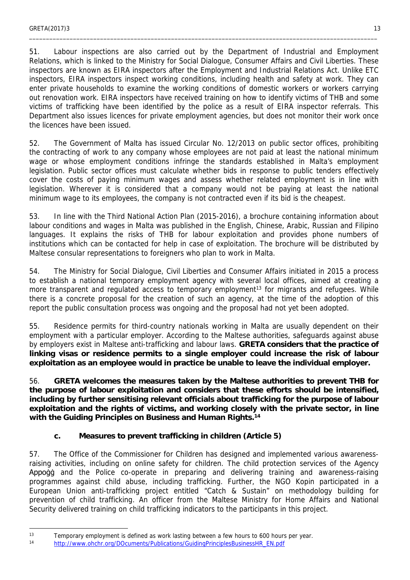51. Labour inspections are also carried out by the Department of Industrial and Employment Relations, which is linked to the Ministry for Social Dialogue, Consumer Affairs and Civil Liberties. These inspectors are known as EIRA inspectors after the Employment and Industrial Relations Act. Unlike ETC inspectors, EIRA inspectors inspect working conditions, including health and safety at work. They can enter private households to examine the working conditions of domestic workers or workers carrying out renovation work. EIRA inspectors have received training on how to identify victims of THB and some victims of trafficking have been identified by the police as a result of EIRA inspector referrals. This Department also issues licences for private employment agencies, but does not monitor their work once the licences have been issued.

\_\_\_\_\_\_\_\_\_\_\_\_\_\_\_\_\_\_\_\_\_\_\_\_\_\_\_\_\_\_\_\_\_\_\_\_\_\_\_\_\_\_\_\_\_\_\_\_\_\_\_\_\_\_\_\_\_\_\_\_\_\_\_\_\_\_\_\_\_\_\_\_\_\_\_\_\_\_\_\_\_\_\_\_\_\_\_\_\_\_\_\_\_\_\_\_\_\_\_\_\_\_\_

52. The Government of Malta has issued Circular No. 12/2013 on public sector offices, prohibiting the contracting of work to any company whose employees are not paid at least the national minimum wage or whose employment conditions infringe the standards established in Malta's employment legislation. Public sector offices must calculate whether bids in response to public tenders effectively cover the costs of paying minimum wages and assess whether related employment is in line with legislation. Wherever it is considered that a company would not be paying at least the national minimum wage to its employees, the company is not contracted even if its bid is the cheapest.

53. In line with the Third National Action Plan (2015-2016), a brochure containing information about labour conditions and wages in Malta was published in the English, Chinese, Arabic, Russian and Filipino languages. It explains the risks of THB for labour exploitation and provides phone numbers of institutions which can be contacted for help in case of exploitation. The brochure will be distributed by Maltese consular representations to foreigners who plan to work in Malta.

54. The Ministry for Social Dialogue, Civil Liberties and Consumer Affairs initiated in 2015 a process to establish a national temporary employment agency with several local offices, aimed at creating a more transparent and regulated access to temporary employment<sup>13</sup> for migrants and refugees. While there is a concrete proposal for the creation of such an agency, at the time of the adoption of this report the public consultation process was ongoing and the proposal had not yet been adopted.

55. Residence permits for third-country nationals working in Malta are usually dependent on their employment with a particular employer. According to the Maltese authorities, safeguards against abuse by employers exist in Maltese anti-trafficking and labour laws. **GRETA considers that the practice of linking visas or residence permits to a single employer could increase the risk of labour exploitation as an employee would in practice be unable to leave the individual employer.**

56. **GRETA welcomes the measures taken by the Maltese authorities to prevent THB for the purpose of labour exploitation and considers that these efforts should be intensified, including by further sensitising relevant officials about trafficking for the purpose of labour exploitation and the rights of victims, and working closely with the private sector, in line with the Guiding Principles on Business and Human Rights.<sup>14</sup>**

<span id="page-12-0"></span>**c. Measures to prevent trafficking in children (Article 5)**

57. The Office of the Commissioner for Children has designed and implemented various awarenessraising activities, including on online safety for children. The child protection services of the Agency Appoġġ and the Police co-operate in preparing and delivering training and awareness-raising programmes against child abuse, including trafficking. Further, the NGO Kopin participated in a European Union anti-trafficking project entitled "Catch & Sustain" on methodology building for prevention of child trafficking. An officer from the Maltese Ministry for Home Affairs and National Security delivered training on child trafficking indicators to the participants in this project.

<sup>&</sup>lt;sup>13</sup> Temporary employment is defined as work lasting between a few hours to 600 hours per year.

<sup>14</sup> [http://www.ohchr.org/DOcuments/Publications/GuidingPrinciplesBusinessHR\\_EN.pdf](http://www.ohchr.org/DOcuments/Publications/GuidingPrinciplesBusinessHR_EN.pdf)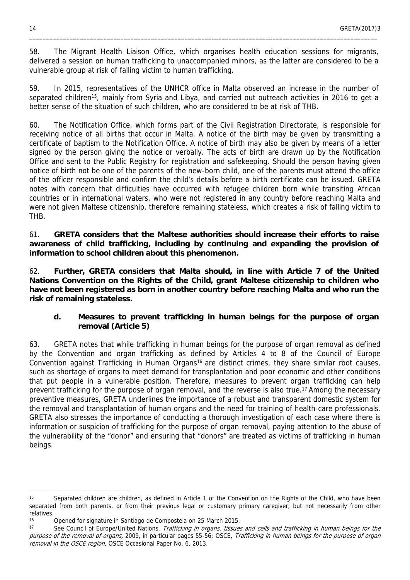58. The Migrant Health Liaison Office, which organises health education sessions for migrants, delivered a session on human trafficking to unaccompanied minors, as the latter are considered to be a vulnerable group at risk of falling victim to human trafficking.

\_\_\_\_\_\_\_\_\_\_\_\_\_\_\_\_\_\_\_\_\_\_\_\_\_\_\_\_\_\_\_\_\_\_\_\_\_\_\_\_\_\_\_\_\_\_\_\_\_\_\_\_\_\_\_\_\_\_\_\_\_\_\_\_\_\_\_\_\_\_\_\_\_\_\_\_\_\_\_\_\_\_\_\_\_\_\_\_\_\_\_\_\_\_\_\_\_\_\_\_\_\_\_

59. In 2015, representatives of the UNHCR office in Malta observed an increase in the number of separated children<sup>15</sup>, mainly from Syria and Libya, and carried out outreach activities in 2016 to get a better sense of the situation of such children, who are considered to be at risk of THB.

60. The Notification Office, which forms part of the Civil Registration Directorate, is responsible for receiving notice of all births that occur in Malta. A notice of the birth may be given by transmitting a certificate of baptism to the Notification Office. A notice of birth may also be given by means of a letter signed by the person giving the notice or verbally. The acts of birth are drawn up by the Notification Office and sent to the Public Registry for registration and safekeeping. Should the person having given notice of birth not be one of the parents of the new-born child, one of the parents must attend the office of the officer responsible and confirm the child's details before a birth certificate can be issued. GRETA notes with concern that difficulties have occurred with refugee children born while transiting African countries or in international waters, who were not registered in any country before reaching Malta and were not given Maltese citizenship, therefore remaining stateless, which creates a risk of falling victim to THB.

61. **GRETA considers that the Maltese authorities should increase their efforts to raise awareness of child trafficking, including by continuing and expanding the provision of information to school children about this phenomenon.**

62. **Further, GRETA considers that Malta should, in line with Article 7 of the United Nations Convention on the Rights of the Child, grant Maltese citizenship to children who have not been registered as born in another country before reaching Malta and who run the risk of remaining stateless.**

<span id="page-13-0"></span>**d. Measures to prevent trafficking in human beings for the purpose of organ removal (Article 5)**

63. GRETA notes that while trafficking in human beings for the purpose of organ removal as defined by the Convention and organ trafficking as defined by Articles 4 to 8 of the Council of Europe Convention against Trafficking in Human Organs<sup>16</sup> are distinct crimes, they share similar root causes, such as shortage of organs to meet demand for transplantation and poor economic and other conditions that put people in a vulnerable position. Therefore, measures to prevent organ trafficking can help prevent trafficking for the purpose of organ removal, and the reverse is also true.<sup>17</sup> Among the necessary preventive measures, GRETA underlines the importance of a robust and transparent domestic system for the removal and transplantation of human organs and the need for training of health-care professionals. GRETA also stresses the importance of conducting a thorough investigation of each case where there is information or suspicion of trafficking for the purpose of organ removal, paying attention to the abuse of the vulnerability of the "donor" and ensuring that "donors" are treated as victims of trafficking in human beings.

<sup>15</sup> Separated children are children, as defined in Article 1 of the Convention on the Rights of the Child, who have been separated from both parents, or from their previous legal or customary primary caregiver, but not necessarily from other relatives.

<sup>16</sup> Opened for signature in Santiago de Compostela on 25 March 2015.

<sup>17</sup> See Council of Europe/United Nations, *Trafficking in organs, tissues and cells and trafficking in human beings for the purpose of the removal of organs,* 2009, in particular pages 55-56; OSCE, *Trafficking in human beings for the purpose of organ removal in the OSCE region*, OSCE Occasional Paper No. 6, 2013.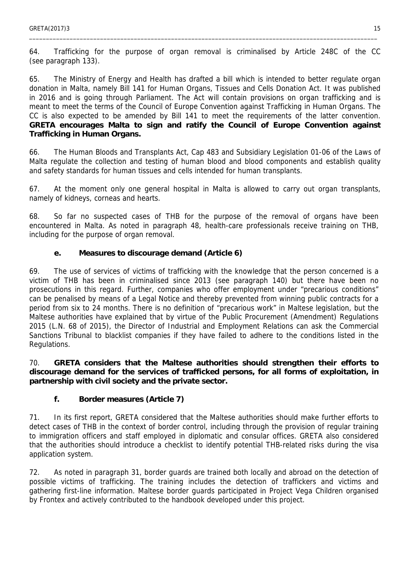64. Trafficking for the purpose of organ removal is criminalised by Article 248C of the CC (see paragraph 133).

\_\_\_\_\_\_\_\_\_\_\_\_\_\_\_\_\_\_\_\_\_\_\_\_\_\_\_\_\_\_\_\_\_\_\_\_\_\_\_\_\_\_\_\_\_\_\_\_\_\_\_\_\_\_\_\_\_\_\_\_\_\_\_\_\_\_\_\_\_\_\_\_\_\_\_\_\_\_\_\_\_\_\_\_\_\_\_\_\_\_\_\_\_\_\_\_\_\_\_\_\_\_\_

65. The Ministry of Energy and Health has drafted a bill which is intended to better regulate organ donation in Malta, namely Bill 141 for Human Organs, Tissues and Cells Donation Act. It was published in 2016 and is going through Parliament. The Act will contain provisions on organ trafficking and is meant to meet the terms of the Council of Europe Convention against Trafficking in Human Organs. The CC is also expected to be amended by Bill 141 to meet the requirements of the latter convention. **GRETA encourages Malta to sign and ratify the Council of Europe Convention against Trafficking in Human Organs.**

66. The Human Bloods and Transplants Act, Cap 483 and Subsidiary Legislation 01-06 of the Laws of Malta regulate the collection and testing of human blood and blood components and establish quality and safety standards for human tissues and cells intended for human transplants.

67. At the moment only one general hospital in Malta is allowed to carry out organ transplants, namely of kidneys, corneas and hearts.

68. So far no suspected cases of THB for the purpose of the removal of organs have been encountered in Malta. As noted in paragraph 48, health-care professionals receive training on THB, including for the purpose of organ removal.

<span id="page-14-0"></span>**e. Measures to discourage demand (Article 6)**

69. The use of services of victims of trafficking with the knowledge that the person concerned is a victim of THB has been in criminalised since 2013 (see paragraph 140) but there have been no prosecutions in this regard. Further, companies who offer employment under "precarious conditions" can be penalised by means of a Legal Notice and thereby prevented from winning public contracts for a period from six to 24 months. There is no definition of "precarious work" in Maltese legislation, but the Maltese authorities have explained that by virtue of the Public Procurement (Amendment) Regulations 2015 (L.N. 68 of 2015), the Director of Industrial and Employment Relations can ask the Commercial Sanctions Tribunal to blacklist companies if they have failed to adhere to the conditions listed in the Regulations.

70. **GRETA considers that the Maltese authorities should strengthen their efforts to discourage demand for the services of trafficked persons, for all forms of exploitation, in partnership with civil society and the private sector.**

<span id="page-14-1"></span>**f. Border measures (Article 7)**

71. In its first report, GRETA considered that the Maltese authorities should make further efforts to detect cases of THB in the context of border control, including through the provision of regular training to immigration officers and staff employed in diplomatic and consular offices. GRETA also considered that the authorities should introduce a checklist to identify potential THB-related risks during the visa application system.

72. As noted in paragraph 31, border guards are trained both locally and abroad on the detection of possible victims of trafficking. The training includes the detection of traffickers and victims and gathering first-line information. Maltese border guards participated in Project Vega Children organised by Frontex and actively contributed to the handbook developed under this project.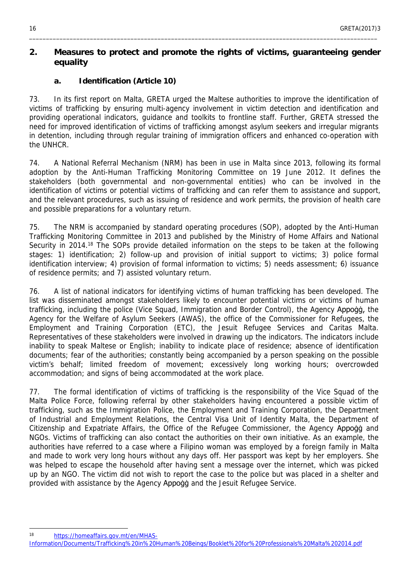#### <span id="page-15-0"></span>**2. Measures to protect and promote the rights of victims, guaranteeing gender equality**

\_\_\_\_\_\_\_\_\_\_\_\_\_\_\_\_\_\_\_\_\_\_\_\_\_\_\_\_\_\_\_\_\_\_\_\_\_\_\_\_\_\_\_\_\_\_\_\_\_\_\_\_\_\_\_\_\_\_\_\_\_\_\_\_\_\_\_\_\_\_\_\_\_\_\_\_\_\_\_\_\_\_\_\_\_\_\_\_\_\_\_\_\_\_\_\_\_\_\_\_\_\_\_

<span id="page-15-1"></span>**a. Identification (Article 10)**

73. In its first report on Malta, GRETA urged the Maltese authorities to improve the identification of victims of trafficking by ensuring multi-agency involvement in victim detection and identification and providing operational indicators, guidance and toolkits to frontline staff. Further, GRETA stressed the need for improved identification of victims of trafficking amongst asylum seekers and irregular migrants in detention, including through regular training of immigration officers and enhanced co-operation with the UNHCR.

74. A National Referral Mechanism (NRM) has been in use in Malta since 2013, following its formal adoption by the Anti-Human Trafficking Monitoring Committee on 19 June 2012. It defines the stakeholders (both governmental and non-governmental entities) who can be involved in the identification of victims or potential victims of trafficking and can refer them to assistance and support, and the relevant procedures, such as issuing of residence and work permits, the provision of health care and possible preparations for a voluntary return.

75. The NRM is accompanied by standard operating procedures (SOP), adopted by the Anti-Human Trafficking Monitoring Committee in 2013 and published by the Ministry of Home Affairs and National Security in 2014.<sup>18</sup> The SOPs provide detailed information on the steps to be taken at the following stages: 1) identification; 2) follow-up and provision of initial support to victims; 3) police formal identification interview; 4) provision of formal information to victims; 5) needs assessment; 6) issuance of residence permits; and 7) assisted voluntary return.

76. A list of national indicators for identifying victims of human trafficking has been developed. The list was disseminated amongst stakeholders likely to encounter potential victims or victims of human trafficking, including the police (Vice Squad, Immigration and Border Control), the Agency Appoġġ, the Agency for the Welfare of Asylum Seekers (AWAS), the office of the Commissioner for Refugees, the Employment and Training Corporation (ETC), the Jesuit Refugee Services and Caritas Malta. Representatives of these stakeholders were involved in drawing up the indicators. The indicators include inability to speak Maltese or English; inability to indicate place of residence; absence of identification documents; fear of the authorities; constantly being accompanied by a person speaking on the possible victim's behalf; limited freedom of movement; excessively long working hours; overcrowded accommodation; and signs of being accommodated at the work place.

77. The formal identification of victims of trafficking is the responsibility of the Vice Squad of the Malta Police Force, following referral by other stakeholders having encountered a possible victim of trafficking, such as the Immigration Police, the Employment and Training Corporation, the Department of Industrial and Employment Relations, the Central Visa Unit of Identity Malta, the Department of Citizenship and Expatriate Affairs, the Office of the Refugee Commissioner, the Agency Appogg and NGOs. Victims of trafficking can also contact the authorities on their own initiative. As an example, the authorities have referred to a case where a Filipino woman was employed by a foreign family in Malta and made to work very long hours without any days off. Her passport was kept by her employers. She was helped to escape the household after having sent a message over the internet, which was picked up by an NGO. The victim did not wish to report the case to the police but was placed in a shelter and provided with assistance by the Agency Appogg and the Jesuit Refugee Service.

<sup>18</sup> [https://homeaffairs.gov.mt/en/MHAS-](https://homeaffairs.gov.mt/en/MHAS-Information/Documents/Trafficking%20in%20Human%20Beings/Booklet%20for%20Professionals%20Malta%202014.pdf)

[Information/Documents/Trafficking%20in%20Human%20Beings/Booklet%20for%20Professionals%20Malta%202014.pdf](https://homeaffairs.gov.mt/en/MHAS-Information/Documents/Trafficking%20in%20Human%20Beings/Booklet%20for%20Professionals%20Malta%202014.pdf)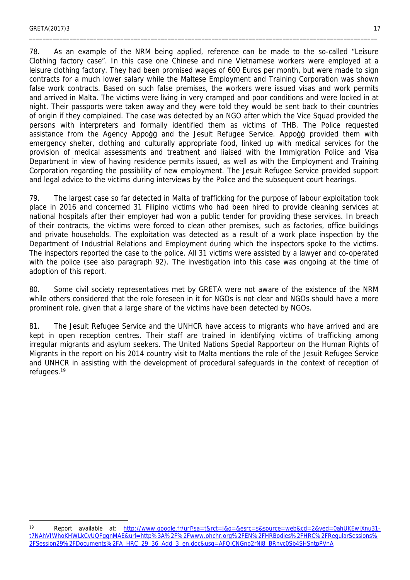78. As an example of the NRM being applied, reference can be made to the so-called "Leisure Clothing factory case". In this case one Chinese and nine Vietnamese workers were employed at a leisure clothing factory. They had been promised wages of 600 Euros per month, but were made to sign contracts for a much lower salary while the Maltese Employment and Training Corporation was shown false work contracts. Based on such false premises, the workers were issued visas and work permits and arrived in Malta. The victims were living in very cramped and poor conditions and were locked in at night. Their passports were taken away and they were told they would be sent back to their countries of origin if they complained. The case was detected by an NGO after which the Vice Squad provided the persons with interpreters and formally identified them as victims of THB. The Police requested assistance from the Agency Appogg and the Jesuit Refugee Service. Appogg provided them with emergency shelter, clothing and culturally appropriate food, linked up with medical services for the provision of medical assessments and treatment and liaised with the Immigration Police and Visa Department in view of having residence permits issued, as well as with the Employment and Training Corporation regarding the possibility of new employment. The Jesuit Refugee Service provided support and legal advice to the victims during interviews by the Police and the subsequent court hearings.

\_\_\_\_\_\_\_\_\_\_\_\_\_\_\_\_\_\_\_\_\_\_\_\_\_\_\_\_\_\_\_\_\_\_\_\_\_\_\_\_\_\_\_\_\_\_\_\_\_\_\_\_\_\_\_\_\_\_\_\_\_\_\_\_\_\_\_\_\_\_\_\_\_\_\_\_\_\_\_\_\_\_\_\_\_\_\_\_\_\_\_\_\_\_\_\_\_\_\_\_\_\_\_

79. The largest case so far detected in Malta of trafficking for the purpose of labour exploitation took place in 2016 and concerned 31 Filipino victims who had been hired to provide cleaning services at national hospitals after their employer had won a public tender for providing these services. In breach of their contracts, the victims were forced to clean other premises, such as factories, office buildings and private households. The exploitation was detected as a result of a work place inspection by the Department of Industrial Relations and Employment during which the inspectors spoke to the victims. The inspectors reported the case to the police. All 31 victims were assisted by a lawyer and co-operated with the police (see also paragraph 92). The investigation into this case was ongoing at the time of adoption of this report.

80. Some civil society representatives met by GRETA were not aware of the existence of the NRM while others considered that the role foreseen in it for NGOs is not clear and NGOs should have a more prominent role, given that a large share of the victims have been detected by NGOs.

81. The Jesuit Refugee Service and the UNHCR have access to migrants who have arrived and are kept in open reception centres. Their staff are trained in identifying victims of trafficking among irregular migrants and asylum seekers. The United Nations Special Rapporteur on the Human Rights of Migrants in the report on his 2014 country visit to Malta mentions the role of the Jesuit Refugee Service and UNHCR in assisting with the development of procedural safeguards in the context of reception of refugees.<sup>19</sup>

<sup>19</sup> Report available at: [http://www.google.fr/url?sa=t&rct=j&q=&esrc=s&source=web&cd=2&ved=0ahUKEwjXnu31](http://www.google.fr/url?sa=t&rct=j&q=&esrc=s&source=web&cd=2&ved=0ahUKEwjXnu31-t7NAhVIWhoKHWLkCvUQFggnMAE&url=http%3A%2F%2Fwww.ohchr.org%2FEN%2FHRBodies%2FHRC%2FRegularSessions%2FSession29%2FDocuments%2FA_HRC_29_36_Add_3_en.doc&usg=AFQjCNGno2rNi8_BRnvc0Sb4SHSntpPVnA) [t7NAhVIWhoKHWLkCvUQFggnMAE&url=http%3A%2F%2Fwww.ohchr.org%2FEN%2FHRBodies%2FHRC%2FRegularSessions%](http://www.google.fr/url?sa=t&rct=j&q=&esrc=s&source=web&cd=2&ved=0ahUKEwjXnu31-t7NAhVIWhoKHWLkCvUQFggnMAE&url=http%3A%2F%2Fwww.ohchr.org%2FEN%2FHRBodies%2FHRC%2FRegularSessions%2FSession29%2FDocuments%2FA_HRC_29_36_Add_3_en.doc&usg=AFQjCNGno2rNi8_BRnvc0Sb4SHSntpPVnA) [2FSession29%2FDocuments%2FA\\_HRC\\_29\\_36\\_Add\\_3\\_en.doc&usg=AFQjCNGno2rNi8\\_BRnvc0Sb4SHSntpPVnA](http://www.google.fr/url?sa=t&rct=j&q=&esrc=s&source=web&cd=2&ved=0ahUKEwjXnu31-t7NAhVIWhoKHWLkCvUQFggnMAE&url=http%3A%2F%2Fwww.ohchr.org%2FEN%2FHRBodies%2FHRC%2FRegularSessions%2FSession29%2FDocuments%2FA_HRC_29_36_Add_3_en.doc&usg=AFQjCNGno2rNi8_BRnvc0Sb4SHSntpPVnA)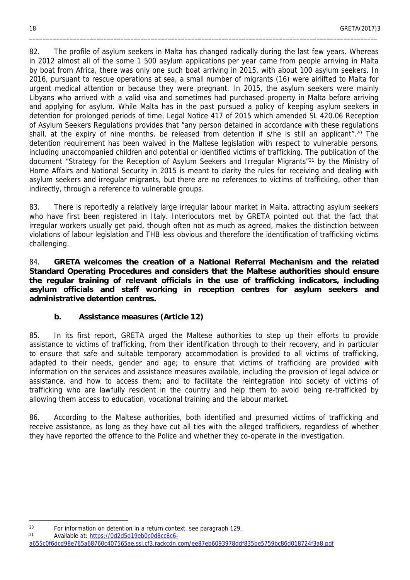82. The profile of asylum seekers in Malta has changed radically during the last few years. Whereas in 2012 almost all of the some 1 500 asylum applications per year came from people arriving in Malta by boat from Africa, there was only one such boat arriving in 2015, with about 100 asylum seekers. In 2016, pursuant to rescue operations at sea, a small number of migrants (16) were airlifted to Malta for urgent medical attention or because they were pregnant. In 2015, the asylum seekers were mainly Libyans who arrived with a valid visa and sometimes had purchased property in Malta before arriving and applying for asylum. While Malta has in the past pursued a policy of keeping asylum seekers in detention for prolonged periods of time, Legal Notice 417 of 2015 which amended SL 420.06 Reception of Asylum Seekers Regulations provides that "any person detained in accordance with these regulations shall, at the expiry of nine months, be released from detention if s/he is still an applicant".<sup>20</sup> The detention requirement has been waived in the Maltese legislation with respect to vulnerable persons, including unaccompanied children and potential or identified victims of trafficking. The publication of the document "Strategy for the Reception of Asylum Seekers and Irregular Migrants"<sup>21</sup> by the Ministry of Home Affairs and National Security in 2015 is meant to clarity the rules for receiving and dealing with asylum seekers and irregular migrants, but there are no references to victims of trafficking, other than indirectly, through a reference to vulnerable groups.

\_\_\_\_\_\_\_\_\_\_\_\_\_\_\_\_\_\_\_\_\_\_\_\_\_\_\_\_\_\_\_\_\_\_\_\_\_\_\_\_\_\_\_\_\_\_\_\_\_\_\_\_\_\_\_\_\_\_\_\_\_\_\_\_\_\_\_\_\_\_\_\_\_\_\_\_\_\_\_\_\_\_\_\_\_\_\_\_\_\_\_\_\_\_\_\_\_\_\_\_\_\_\_

83. There is reportedly a relatively large irregular labour market in Malta, attracting asylum seekers who have first been registered in Italy. Interlocutors met by GRETA pointed out that the fact that irregular workers usually get paid, though often not as much as agreed, makes the distinction between violations of labour legislation and THB less obvious and therefore the identification of trafficking victims challenging.

84. **GRETA welcomes the creation of a National Referral Mechanism and the related Standard Operating Procedures and considers that the Maltese authorities should ensure the regular training of relevant officials in the use of trafficking indicators, including asylum officials and staff working in reception centres for asylum seekers and administrative detention centres.**

<span id="page-17-0"></span>**b. Assistance measures (Article 12)** 

85. In its first report, GRETA urged the Maltese authorities to step up their efforts to provide assistance to victims of trafficking, from their identification through to their recovery, and in particular to ensure that safe and suitable temporary accommodation is provided to all victims of trafficking, adapted to their needs, gender and age; to ensure that victims of trafficking are provided with information on the services and assistance measures available, including the provision of legal advice or assistance, and how to access them; and to facilitate the reintegration into society of victims of trafficking who are lawfully resident in the country and help them to avoid being re-trafficked by allowing them access to education, vocational training and the labour market.

86. According to the Maltese authorities, both identified and presumed victims of trafficking and receive assistance, as long as they have cut all ties with the alleged traffickers, regardless of whether they have reported the offence to the Police and whether they co-operate in the investigation.

<sup>&</sup>lt;sup>20</sup> For information on detention in a return context, see paragraph 129.<br>21 Aveilable at: https://0d3d5d10eb0c0d8cc8c4

Available at: [https://0d2d5d19eb0c0d8cc8c6-](https://0d2d5d19eb0c0d8cc8c6-a655c0f6dcd98e765a68760c407565ae.ssl.cf3.rackcdn.com/ee87eb6093978ddf835be5759bc86d018724f3a8.pdf)

[a655c0f6dcd98e765a68760c407565ae.ssl.cf3.rackcdn.com/ee87eb6093978ddf835be5759bc86d018724f3a8.pdf](https://0d2d5d19eb0c0d8cc8c6-a655c0f6dcd98e765a68760c407565ae.ssl.cf3.rackcdn.com/ee87eb6093978ddf835be5759bc86d018724f3a8.pdf)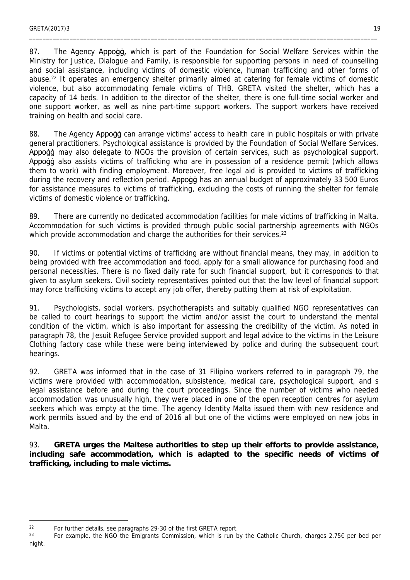87. The Agency Appogg, which is part of the Foundation for Social Welfare Services within the Ministry for Justice, Dialogue and Family, is responsible for supporting persons in need of counselling and social assistance, including victims of domestic violence, human trafficking and other forms of abuse.<sup>22</sup> It operates an emergency shelter primarily aimed at catering for female victims of domestic violence, but also accommodating female victims of THB. GRETA visited the shelter, which has a capacity of 14 beds. In addition to the director of the shelter, there is one full-time social worker and one support worker, as well as nine part-time support workers. The support workers have received training on health and social care.

\_\_\_\_\_\_\_\_\_\_\_\_\_\_\_\_\_\_\_\_\_\_\_\_\_\_\_\_\_\_\_\_\_\_\_\_\_\_\_\_\_\_\_\_\_\_\_\_\_\_\_\_\_\_\_\_\_\_\_\_\_\_\_\_\_\_\_\_\_\_\_\_\_\_\_\_\_\_\_\_\_\_\_\_\_\_\_\_\_\_\_\_\_\_\_\_\_\_\_\_\_\_\_

88. The Agency Appogg can arrange victims' access to health care in public hospitals or with private general practitioners. Psychological assistance is provided by the Foundation of Social Welfare Services. Appoġġ may also delegate to NGOs the provision of certain services, such as psychological support. Appoġġ also assists victims of trafficking who are in possession of a residence permit (which allows them to work) with finding employment. Moreover, free legal aid is provided to victims of trafficking during the recovery and reflection period. Appogg has an annual budget of approximately 33 500 Euros for assistance measures to victims of trafficking, excluding the costs of running the shelter for female victims of domestic violence or trafficking.

89. There are currently no dedicated accommodation facilities for male victims of trafficking in Malta. Accommodation for such victims is provided through public social partnership agreements with NGOs which provide accommodation and charge the authorities for their services.<sup>23</sup>

90. If victims or potential victims of trafficking are without financial means, they may, in addition to being provided with free accommodation and food, apply for a small allowance for purchasing food and personal necessities. There is no fixed daily rate for such financial support, but it corresponds to that given to asylum seekers. Civil society representatives pointed out that the low level of financial support may force trafficking victims to accept any job offer, thereby putting them at risk of exploitation.

91. Psychologists, social workers, psychotherapists and suitably qualified NGO representatives can be called to court hearings to support the victim and/or assist the court to understand the mental condition of the victim, which is also important for assessing the credibility of the victim. As noted in paragraph 78, the Jesuit Refugee Service provided support and legal advice to the victims in the Leisure Clothing factory case while these were being interviewed by police and during the subsequent court hearings.

92. GRETA was informed that in the case of 31 Filipino workers referred to in paragraph 79, the victims were provided with accommodation, subsistence, medical care, psychological support, and s legal assistance before and during the court proceedings. Since the number of victims who needed accommodation was unusually high, they were placed in one of the open reception centres for asylum seekers which was empty at the time. The agency Identity Malta issued them with new residence and work permits issued and by the end of 2016 all but one of the victims were employed on new jobs in Malta.

93. **GRETA urges the Maltese authorities to step up their efforts to provide assistance, including safe accommodation, which is adapted to the specific needs of victims of trafficking, including to male victims.**

<sup>&</sup>lt;sup>22</sup> For further details, see paragraphs 29-30 of the first GRETA report.<br><sup>23</sup> East example, the MCO the Emigraphs Commission, which is sup-h

<sup>23</sup> For example, the NGO the Emigrants Commission, which is run by the Catholic Church, charges 2.75€ per bed per night.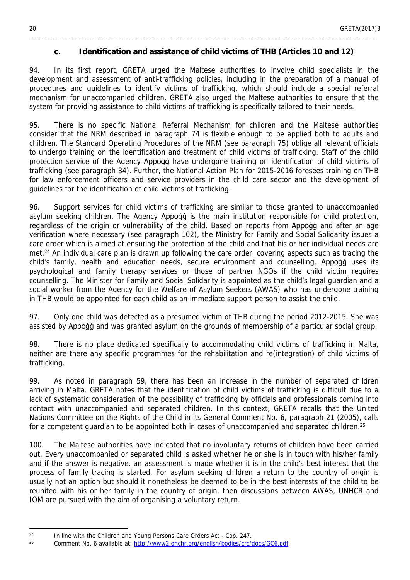#### <span id="page-19-0"></span>**c. Identification and assistance of child victims of THB (Articles 10 and 12)**

\_\_\_\_\_\_\_\_\_\_\_\_\_\_\_\_\_\_\_\_\_\_\_\_\_\_\_\_\_\_\_\_\_\_\_\_\_\_\_\_\_\_\_\_\_\_\_\_\_\_\_\_\_\_\_\_\_\_\_\_\_\_\_\_\_\_\_\_\_\_\_\_\_\_\_\_\_\_\_\_\_\_\_\_\_\_\_\_\_\_\_\_\_\_\_\_\_\_\_\_\_\_\_

94. In its first report, GRETA urged the Maltese authorities to involve child specialists in the development and assessment of anti-trafficking policies, including in the preparation of a manual of procedures and guidelines to identify victims of trafficking, which should include a special referral mechanism for unaccompanied children. GRETA also urged the Maltese authorities to ensure that the system for providing assistance to child victims of trafficking is specifically tailored to their needs.

95. There is no specific National Referral Mechanism for children and the Maltese authorities consider that the NRM described in paragraph 74 is flexible enough to be applied both to adults and children. The Standard Operating Procedures of the NRM (see paragraph 75) oblige all relevant officials to undergo training on the identification and treatment of child victims of trafficking. Staff of the child protection service of the Agency Appogg have undergone training on identification of child victims of trafficking (see paragraph 34). Further, the National Action Plan for 2015-2016 foresees training on THB for law enforcement officers and service providers in the child care sector and the development of guidelines for the identification of child victims of trafficking.

96. Support services for child victims of trafficking are similar to those granted to unaccompanied asylum seeking children. The Agency Appogg is the main institution responsible for child protection, regardless of the origin or vulnerability of the child. Based on reports from Appogo and after an age verification where necessary (see paragraph 102), the Ministry for Family and Social Solidarity issues a care order which is aimed at ensuring the protection of the child and that his or her individual needs are met.<sup>24</sup> An individual care plan is drawn up following the care order, covering aspects such as tracing the child's family, health and education needs, secure environment and counselling. Appogg uses its psychological and family therapy services or those of partner NGOs if the child victim requires counselling. The Minister for Family and Social Solidarity is appointed as the child's legal guardian and a social worker from the Agency for the Welfare of Asylum Seekers (AWAS) who has undergone training in THB would be appointed for each child as an immediate support person to assist the child.

97. Only one child was detected as a presumed victim of THB during the period 2012-2015. She was assisted by Appoġġ and was granted asylum on the grounds of membership of a particular social group.

98. There is no place dedicated specifically to accommodating child victims of trafficking in Malta, neither are there any specific programmes for the rehabilitation and re(integration) of child victims of trafficking.

99. As noted in paragraph 59, there has been an increase in the number of separated children arriving in Malta. GRETA notes that the identification of child victims of trafficking is difficult due to a lack of systematic consideration of the possibility of trafficking by officials and professionals coming into contact with unaccompanied and separated children. In this context, GRETA recalls that the United Nations Committee on the Rights of the Child in its General Comment No. 6, paragraph 21 (2005), calls for a competent guardian to be appointed both in cases of unaccompanied and separated children.<sup>25</sup>

100. The Maltese authorities have indicated that no involuntary returns of children have been carried out. Every unaccompanied or separated child is asked whether he or she is in touch with his/her family and if the answer is negative, an assessment is made whether it is in the child's best interest that the process of family tracing is started. For asylum seeking children a return to the country of origin is usually not an option but should it nonetheless be deemed to be in the best interests of the child to be reunited with his or her family in the country of origin, then discussions between AWAS, UNHCR and IOM are pursued with the aim of organising a voluntary return.

<sup>&</sup>lt;sup>24</sup> In line with the Children and Young Persons Care Orders Act - Cap. 247.

<sup>25</sup> Comment No. 6 available at: <http://www2.ohchr.org/english/bodies/crc/docs/GC6.pdf>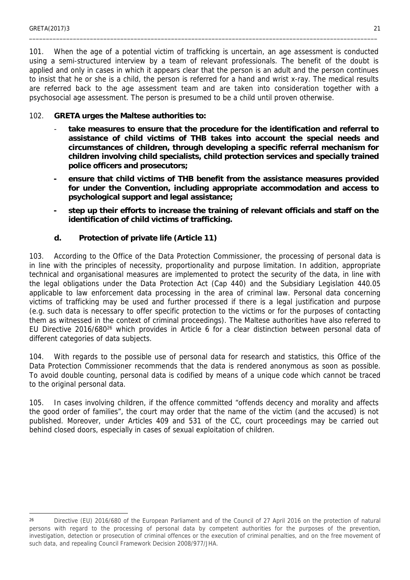101. When the age of a potential victim of trafficking is uncertain, an age assessment is conducted using a semi-structured interview by a team of relevant professionals. The benefit of the doubt is applied and only in cases in which it appears clear that the person is an adult and the person continues to insist that he or she is a child, the person is referred for a hand and wrist x-ray. The medical results are referred back to the age assessment team and are taken into consideration together with a psychosocial age assessment. The person is presumed to be a child until proven otherwise.

\_\_\_\_\_\_\_\_\_\_\_\_\_\_\_\_\_\_\_\_\_\_\_\_\_\_\_\_\_\_\_\_\_\_\_\_\_\_\_\_\_\_\_\_\_\_\_\_\_\_\_\_\_\_\_\_\_\_\_\_\_\_\_\_\_\_\_\_\_\_\_\_\_\_\_\_\_\_\_\_\_\_\_\_\_\_\_\_\_\_\_\_\_\_\_\_\_\_\_\_\_\_\_

- 102. **GRETA urges the Maltese authorities to:**
	- take measures to ensure that the procedure for the identification and referral to **assistance of child victims of THB takes into account the special needs and circumstances of children, through developing a specific referral mechanism for children involving child specialists, child protection services and specially trained police officers and prosecutors;**
	- **ensure that child victims of THB benefit from the assistance measures provided for under the Convention, including appropriate accommodation and access to psychological support and legal assistance;**
	- **step up their efforts to increase the training of relevant officials and staff on the identification of child victims of trafficking.**
	- **d. Protection of private life (Article 11)**

<span id="page-20-0"></span>103. According to the Office of the Data Protection Commissioner, the processing of personal data is in line with the principles of necessity, proportionality and purpose limitation. In addition, appropriate technical and organisational measures are implemented to protect the security of the data, in line with the legal obligations under the Data Protection Act (Cap 440) and the Subsidiary Legislation 440.05 applicable to law enforcement data processing in the area of criminal law. Personal data concerning victims of trafficking may be used and further processed if there is a legal justification and purpose (e.g. such data is necessary to offer specific protection to the victims or for the purposes of contacting them as witnessed in the context of criminal proceedings). The Maltese authorities have also referred to EU Directive 2016/680<sup>26</sup> which provides in Article 6 for a clear distinction between personal data of different categories of data subjects.

104. With regards to the possible use of personal data for research and statistics, this Office of the Data Protection Commissioner recommends that the data is rendered anonymous as soon as possible. To avoid double counting, personal data is codified by means of a unique code which cannot be traced to the original personal data.

105. In cases involving children, if the offence committed "offends decency and morality and affects the good order of families", the court may order that the name of the victim (and the accused) is not published. Moreover, under Articles 409 and 531 of the CC, court proceedings may be carried out behind closed doors, especially in cases of sexual exploitation of children.

<sup>&</sup>lt;sup>26</sup> Directive (EU) 2016/680 of the European Parliament and of the Council of 27 April 2016 on the protection of natural persons with regard to the processing of personal data by competent authorities for the purposes of the prevention, investigation, detection or prosecution of criminal offences or the execution of criminal penalties, and on the free movement of such data, and repealing Council Framework Decision 2008/977/JHA.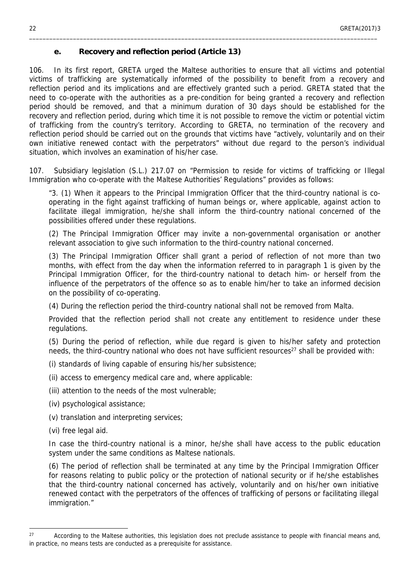#### <span id="page-21-0"></span>**e. Recovery and reflection period (Article 13)**

106. In its first report, GRETA urged the Maltese authorities to ensure that all victims and potential victims of trafficking are systematically informed of the possibility to benefit from a recovery and reflection period and its implications and are effectively granted such a period. GRETA stated that the need to co-operate with the authorities as a pre-condition for being granted a recovery and reflection period should be removed, and that a minimum duration of 30 days should be established for the recovery and reflection period, during which time it is not possible to remove the victim or potential victim of trafficking from the country's territory. According to GRETA, no termination of the recovery and reflection period should be carried out on the grounds that victims have "actively, voluntarily and on their own initiative renewed contact with the perpetrators" without due regard to the person's individual situation, which involves an examination of his/her case.

\_\_\_\_\_\_\_\_\_\_\_\_\_\_\_\_\_\_\_\_\_\_\_\_\_\_\_\_\_\_\_\_\_\_\_\_\_\_\_\_\_\_\_\_\_\_\_\_\_\_\_\_\_\_\_\_\_\_\_\_\_\_\_\_\_\_\_\_\_\_\_\_\_\_\_\_\_\_\_\_\_\_\_\_\_\_\_\_\_\_\_\_\_\_\_\_\_\_\_\_\_\_\_

107. Subsidiary legislation (S.L.) 217.07 on "Permission to reside for victims of trafficking or Illegal Immigration who co-operate with the Maltese Authorities' Regulations" provides as follows:

"3. (1) When it appears to the Principal Immigration Officer that the third-country national is cooperating in the fight against trafficking of human beings or, where applicable, against action to facilitate illegal immigration, he/she shall inform the third-country national concerned of the possibilities offered under these regulations.

(2) The Principal Immigration Officer may invite a non-governmental organisation or another relevant association to give such information to the third-country national concerned.

(3) The Principal Immigration Officer shall grant a period of reflection of not more than two months, with effect from the day when the information referred to in paragraph 1 is given by the Principal Immigration Officer, for the third-country national to detach him- or herself from the influence of the perpetrators of the offence so as to enable him/her to take an informed decision on the possibility of co-operating.

(4) During the reflection period the third-country national shall not be removed from Malta.

Provided that the reflection period shall not create any entitlement to residence under these regulations.

(5) During the period of reflection, while due regard is given to his/her safety and protection needs, the third-country national who does not have sufficient resources<sup>27</sup> shall be provided with:

(i) standards of living capable of ensuring his/her subsistence;

- (ii) access to emergency medical care and, where applicable:
- (iii) attention to the needs of the most vulnerable;
- (iv) psychological assistance;
- (v) translation and interpreting services;
- (vi) free legal aid.

In case the third-country national is a minor, he/she shall have access to the public education system under the same conditions as Maltese nationals.

(6) The period of reflection shall be terminated at any time by the Principal Immigration Officer for reasons relating to public policy or the protection of national security or if he/she establishes that the third-country national concerned has actively, voluntarily and on his/her own initiative renewed contact with the perpetrators of the offences of trafficking of persons or facilitating illegal immigration."

<sup>&</sup>lt;sup>27</sup> According to the Maltese authorities, this legislation does not preclude assistance to people with financial means and, in practice, no means tests are conducted as a prerequisite for assistance.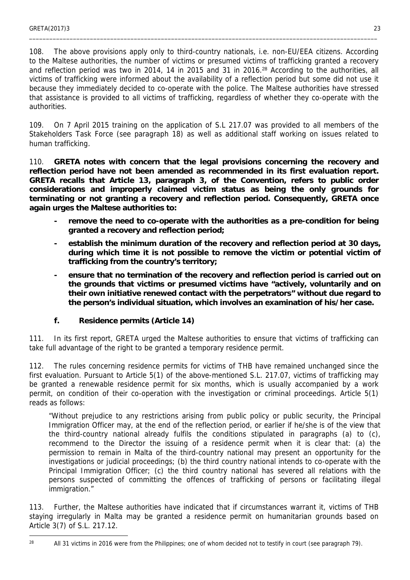108. The above provisions apply only to third-country nationals, i.e. non-EU/EEA citizens. According to the Maltese authorities, the number of victims or presumed victims of trafficking granted a recovery and reflection period was two in 2014, 14 in 2015 and 31 in 2016.28 According to the authorities, all victims of trafficking were informed about the availability of a reflection period but some did not use it because they immediately decided to co-operate with the police. The Maltese authorities have stressed that assistance is provided to all victims of trafficking, regardless of whether they co-operate with the authorities.

\_\_\_\_\_\_\_\_\_\_\_\_\_\_\_\_\_\_\_\_\_\_\_\_\_\_\_\_\_\_\_\_\_\_\_\_\_\_\_\_\_\_\_\_\_\_\_\_\_\_\_\_\_\_\_\_\_\_\_\_\_\_\_\_\_\_\_\_\_\_\_\_\_\_\_\_\_\_\_\_\_\_\_\_\_\_\_\_\_\_\_\_\_\_\_\_\_\_\_\_\_\_\_

109. On 7 April 2015 training on the application of S.L 217.07 was provided to all members of the Stakeholders Task Force (see paragraph 18) as well as additional staff working on issues related to human trafficking*.*

110. **GRETA notes with concern that the legal provisions concerning the recovery and reflection period have not been amended as recommended in its first evaluation report. GRETA recalls that Article 13, paragraph 3, of the Convention, refers to public order considerations and improperly claimed victim status as being the only grounds for terminating or not granting a recovery and reflection period. Consequently, GRETA once again urges the Maltese authorities to:**

- remove the need to co-operate with the authorities as a pre-condition for being **granted a recovery and reflection period;**
- **establish the minimum duration of the recovery and reflection period at 30 days, during which time it is not possible to remove the victim or potential victim of trafficking from the country's territory;**
- ensure that no termination of the recovery and reflection period is carried out on **the grounds that victims or presumed victims have "actively, voluntarily and on their own initiative renewed contact with the perpetrators" without due regard to the person's individual situation, which involves an examination of his/her case.**
- <span id="page-22-0"></span>**f. Residence permits (Article 14)**

111. In its first report, GRETA urged the Maltese authorities to ensure that victims of trafficking can take full advantage of the right to be granted a temporary residence permit.

112. The rules concerning residence permits for victims of THB have remained unchanged since the first evaluation. Pursuant to Article 5(1) of the above-mentioned S.L. 217.07, victims of trafficking may be granted a renewable residence permit for six months, which is usually accompanied by a work permit, on condition of their co-operation with the investigation or criminal proceedings. Article 5(1) reads as follows:

"Without prejudice to any restrictions arising from public policy or public security, the Principal Immigration Officer may, at the end of the reflection period, or earlier if he/she is of the view that the third-country national already fulfils the conditions stipulated in paragraphs (a) to (c), recommend to the Director the issuing of a residence permit when it is clear that: (a) the permission to remain in Malta of the third-country national may present an opportunity for the investigations or judicial proceedings; (b) the third country national intends to co-operate with the Principal Immigration Officer; (c) the third country national has severed all relations with the persons suspected of committing the offences of trafficking of persons or facilitating illegal immigration."

113. Further, the Maltese authorities have indicated that if circumstances warrant it, victims of THB staying irregularly in Malta may be granted a residence permit on humanitarian grounds based on Article 3(7) of S.L. 217.12.

<sup>&</sup>lt;sup>28</sup> All 31 victims in 2016 were from the Philippines; one of whom decided not to testify in court (see paragraph 79).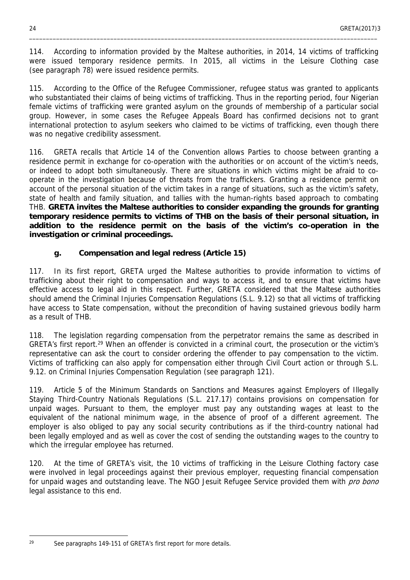114. According to information provided by the Maltese authorities, in 2014, 14 victims of trafficking were issued temporary residence permits. In 2015, all victims in the Leisure Clothing case (see paragraph 78) were issued residence permits.

\_\_\_\_\_\_\_\_\_\_\_\_\_\_\_\_\_\_\_\_\_\_\_\_\_\_\_\_\_\_\_\_\_\_\_\_\_\_\_\_\_\_\_\_\_\_\_\_\_\_\_\_\_\_\_\_\_\_\_\_\_\_\_\_\_\_\_\_\_\_\_\_\_\_\_\_\_\_\_\_\_\_\_\_\_\_\_\_\_\_\_\_\_\_\_\_\_\_\_\_\_\_\_

115. According to the Office of the Refugee Commissioner, refugee status was granted to applicants who substantiated their claims of being victims of trafficking. Thus in the reporting period, four Nigerian female victims of trafficking were granted asylum on the grounds of membership of a particular social group. However, in some cases the Refugee Appeals Board has confirmed decisions not to grant international protection to asylum seekers who claimed to be victims of trafficking, even though there was no negative credibility assessment.

116. GRETA recalls that Article 14 of the Convention allows Parties to choose between granting a residence permit in exchange for co-operation with the authorities or on account of the victim's needs, or indeed to adopt both simultaneously. There are situations in which victims might be afraid to cooperate in the investigation because of threats from the traffickers. Granting a residence permit on account of the personal situation of the victim takes in a range of situations, such as the victim's safety, state of health and family situation, and tallies with the human-rights based approach to combating THB. **GRETA invites the Maltese authorities to consider expanding the grounds for granting temporary residence permits to victims of THB on the basis of their personal situation, in addition to the residence permit on the basis of the victim's co-operation in the investigation or criminal proceedings.**

<span id="page-23-0"></span>**g. Compensation and legal redress (Article 15)**

117. In its first report, GRETA urged the Maltese authorities to provide information to victims of trafficking about their right to compensation and ways to access it, and to ensure that victims have effective access to legal aid in this respect. Further, GRETA considered that the Maltese authorities should amend the Criminal Injuries Compensation Regulations (S.L. 9.12) so that all victims of trafficking have access to State compensation, without the precondition of having sustained grievous bodily harm as a result of THB.

118. The legislation regarding compensation from the perpetrator remains the same as described in GRETA's first report.<sup>29</sup> When an offender is convicted in a criminal court, the prosecution or the victim's representative can ask the court to consider ordering the offender to pay compensation to the victim. Victims of trafficking can also apply for compensation either through Civil Court action or through S.L. 9.12. on Criminal Injuries Compensation Regulation (see paragraph 121).

119. Article 5 of the Minimum Standards on Sanctions and Measures against Employers of Illegally Staying Third-Country Nationals Regulations (S.L. 217.17) contains provisions on compensation for unpaid wages. Pursuant to them, the employer must pay any outstanding wages at least to the equivalent of the national minimum wage, in the absence of proof of a different agreement. The employer is also obliged to pay any social security contributions as if the third-country national had been legally employed and as well as cover the cost of sending the outstanding wages to the country to which the irregular employee has returned.

120. At the time of GRETA's visit, the 10 victims of trafficking in the Leisure Clothing factory case were involved in legal proceedings against their previous employer, requesting financial compensation for unpaid wages and outstanding leave. The NGO Jesuit Refugee Service provided them with *pro bono* legal assistance to this end.

 $29$  See paragraphs 149-151 of GRETA's first report for more details.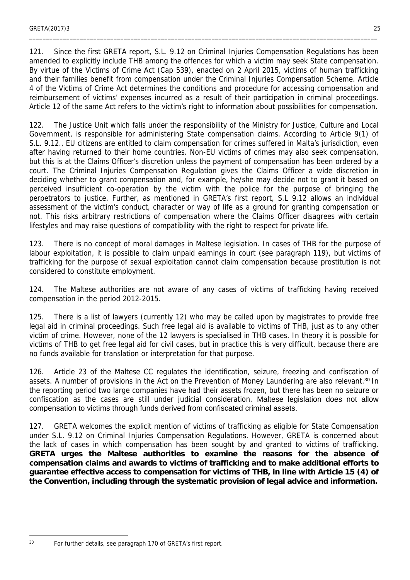121. Since the first GRETA report, S.L. 9.12 on Criminal Injuries Compensation Regulations has been amended to explicitly include THB among the offences for which a victim may seek State compensation. By virtue of the Victims of Crime Act (Cap 539), enacted on 2 April 2015, victims of human trafficking and their families benefit from compensation under the Criminal Injuries Compensation Scheme. Article 4 of the Victims of Crime Act determines the conditions and procedure for accessing compensation and reimbursement of victims' expenses incurred as a result of their participation in criminal proceedings. Article 12 of the same Act refers to the victim's right to information about possibilities for compensation.

122. The Justice Unit which falls under the responsibility of the Ministry for Justice, Culture and Local Government, is responsible for administering State compensation claims. According to Article 9(1) of S.L. 9.12., EU citizens are entitled to claim compensation for crimes suffered in Malta's jurisdiction, even after having returned to their home countries. Non-EU victims of crimes may also seek compensation, but this is at the Claims Officer's discretion unless the payment of compensation has been ordered by a court. The Criminal Injuries Compensation Regulation gives the Claims Officer a wide discretion in deciding whether to grant compensation and, for example, he/she may decide not to grant it based on perceived insufficient co-operation by the victim with the police for the purpose of bringing the perpetrators to justice. Further, as mentioned in GRETA's first report, S.L 9.12 allows an individual assessment of the victim's conduct, character or way of life as a ground for granting compensation or not. This risks arbitrary restrictions of compensation where the Claims Officer disagrees with certain lifestyles and may raise questions of compatibility with the right to respect for private life.

123. There is no concept of moral damages in Maltese legislation. In cases of THB for the purpose of labour exploitation, it is possible to claim unpaid earnings in court (see paragraph 119), but victims of trafficking for the purpose of sexual exploitation cannot claim compensation because prostitution is not considered to constitute employment.

124. The Maltese authorities are not aware of any cases of victims of trafficking having received compensation in the period 2012-2015.

125. There is a list of lawyers (currently 12) who may be called upon by magistrates to provide free legal aid in criminal proceedings. Such free legal aid is available to victims of THB, just as to any other victim of crime. However, none of the 12 lawyers is specialised in THB cases. In theory it is possible for victims of THB to get free legal aid for civil cases, but in practice this is very difficult, because there are no funds available for translation or interpretation for that purpose.

126. Article 23 of the Maltese CC regulates the identification, seizure, freezing and confiscation of assets. A number of provisions in the Act on the Prevention of Money Laundering are also relevant.<sup>30</sup> In the reporting period two large companies have had their assets frozen, but there has been no seizure or confiscation as the cases are still under judicial consideration. Maltese legislation does not allow compensation to victims through funds derived from confiscated criminal assets.

127. GRETA welcomes the explicit mention of victims of trafficking as eligible for State Compensation under S.L. 9.12 on Criminal Injuries Compensation Regulations. However, GRETA is concerned about the lack of cases in which compensation has been sought by and granted to victims of trafficking. **GRETA urges the Maltese authorities to examine the reasons for the absence of compensation claims and awards to victims of trafficking and to make additional efforts to guarantee effective access to compensation for victims of THB, in line with Article 15 (4) of the Convention, including through the systematic provision of legal advice and information.**

<sup>30</sup> For further details, see paragraph 170 of GRETA's first report.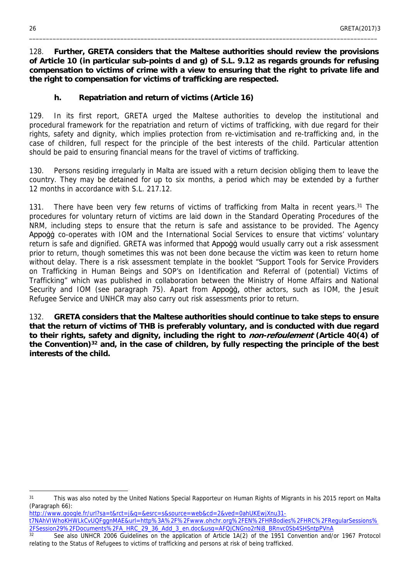128. **Further, GRETA considers that the Maltese authorities should review the provisions of Article 10 (in particular sub-points d and g) of S.L. 9.12 as regards grounds for refusing compensation to victims of crime with a view to ensuring that the right to private life and the right to compensation for victims of trafficking are respected.**

\_\_\_\_\_\_\_\_\_\_\_\_\_\_\_\_\_\_\_\_\_\_\_\_\_\_\_\_\_\_\_\_\_\_\_\_\_\_\_\_\_\_\_\_\_\_\_\_\_\_\_\_\_\_\_\_\_\_\_\_\_\_\_\_\_\_\_\_\_\_\_\_\_\_\_\_\_\_\_\_\_\_\_\_\_\_\_\_\_\_\_\_\_\_\_\_\_\_\_\_\_\_\_

<span id="page-25-0"></span>**h. Repatriation and return of victims (Article 16)**

129. In its first report, GRETA urged the Maltese authorities to develop the institutional and procedural framework for the repatriation and return of victims of trafficking, with due regard for their rights, safety and dignity, which implies protection from re-victimisation and re-trafficking and, in the case of children, full respect for the principle of the best interests of the child. Particular attention should be paid to ensuring financial means for the travel of victims of trafficking.

130. Persons residing irregularly in Malta are issued with a return decision obliging them to leave the country. They may be detained for up to six months, a period which may be extended by a further 12 months in accordance with S.L. 217.12.

131. There have been very few returns of victims of trafficking from Malta in recent years.<sup>31</sup> The procedures for voluntary return of victims are laid down in the Standard Operating Procedures of the NRM, including steps to ensure that the return is safe and assistance to be provided. The Agency Appoġġ co-operates with IOM and the International Social Services to ensure that victims' voluntary return is safe and dignified. GRETA was informed that Appogg would usually carry out a risk assessment prior to return, though sometimes this was not been done because the victim was keen to return home without delay. There is a risk assessment template in the booklet "Support Tools for Service Providers on Trafficking in Human Beings and SOP's on Identification and Referral of (potential) Victims of Trafficking" which was published in collaboration between the Ministry of Home Affairs and National Security and IOM (see paragraph 75). Apart from Appogg, other actors, such as IOM, the Jesuit Refugee Service and UNHCR may also carry out risk assessments prior to return.

<span id="page-25-1"></span>132. **GRETA considers that the Maltese authorities should continue to take steps to ensure that the return of victims of THB is preferably voluntary, and is conducted with due regard to their rights, safety and dignity, including the right to** *non-refoulement* **(Article 40(4) of the Convention)<sup>32</sup> and, in the case of children, by fully respecting the principle of the best interests of the child.**

[http://www.google.fr/url?sa=t&rct=j&q=&esrc=s&source=web&cd=2&ved=0ahUKEwjXnu31-](http://www.google.fr/url?sa=t&rct=j&q=&esrc=s&source=web&cd=2&ved=0ahUKEwjXnu31-t7NAhVIWhoKHWLkCvUQFggnMAE&url=http%3A%2F%2Fwww.ohchr.org%2FEN%2FHRBodies%2FHRC%2FRegularSessions%2FSession29%2FDocuments%2FA_HRC_29_36_Add_3_en.doc&usg=AFQjCNGno2rNi8_BRnvc0Sb4SHSntpPVnA)

<sup>&</sup>lt;sup>31</sup> This was also noted by the United Nations Special Rapporteur on Human Rights of Migrants in his 2015 report on Malta (Paragraph 66):

[t7NAhVIWhoKHWLkCvUQFggnMAE&url=http%3A%2F%2Fwww.ohchr.org%2FEN%2FHRBodies%2FHRC%2FRegularSessions%](http://www.google.fr/url?sa=t&rct=j&q=&esrc=s&source=web&cd=2&ved=0ahUKEwjXnu31-t7NAhVIWhoKHWLkCvUQFggnMAE&url=http%3A%2F%2Fwww.ohchr.org%2FEN%2FHRBodies%2FHRC%2FRegularSessions%2FSession29%2FDocuments%2FA_HRC_29_36_Add_3_en.doc&usg=AFQjCNGno2rNi8_BRnvc0Sb4SHSntpPVnA) [2FSession29%2FDocuments%2FA\\_HRC\\_29\\_36\\_Add\\_3\\_en.doc&usg=AFQjCNGno2rNi8\\_BRnvc0Sb4SHSntpPVnA](http://www.google.fr/url?sa=t&rct=j&q=&esrc=s&source=web&cd=2&ved=0ahUKEwjXnu31-t7NAhVIWhoKHWLkCvUQFggnMAE&url=http%3A%2F%2Fwww.ohchr.org%2FEN%2FHRBodies%2FHRC%2FRegularSessions%2FSession29%2FDocuments%2FA_HRC_29_36_Add_3_en.doc&usg=AFQjCNGno2rNi8_BRnvc0Sb4SHSntpPVnA)

See also UNHCR 2006 Guidelines on the application of Article 1A(2) of the 1951 Convention and/or 1967 Protocol relating to the Status of Refugees to victims of trafficking and persons at risk of being trafficked.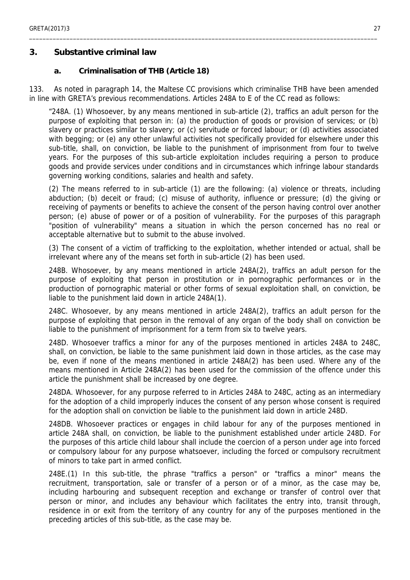#### **3. Substantive criminal law**

<span id="page-26-0"></span>**a. Criminalisation of THB (Article 18)**

133. As noted in paragraph 14, the Maltese CC provisions which criminalise THB have been amended in line with GRETA's previous recommendations. Articles 248A to E of the CC read as follows:

\_\_\_\_\_\_\_\_\_\_\_\_\_\_\_\_\_\_\_\_\_\_\_\_\_\_\_\_\_\_\_\_\_\_\_\_\_\_\_\_\_\_\_\_\_\_\_\_\_\_\_\_\_\_\_\_\_\_\_\_\_\_\_\_\_\_\_\_\_\_\_\_\_\_\_\_\_\_\_\_\_\_\_\_\_\_\_\_\_\_\_\_\_\_\_\_\_\_\_\_\_\_\_

"248A. (1) Whosoever, by any means mentioned in sub-article (2), traffics an adult person for the purpose of exploiting that person in: (a) the production of goods or provision of services; or (b) slavery or practices similar to slavery; or (c) servitude or forced labour; or (d) activities associated with begging; or (e) any other unlawful activities not specifically provided for elsewhere under this sub-title, shall, on conviction, be liable to the punishment of imprisonment from four to twelve years. For the purposes of this sub-article exploitation includes requiring a person to produce goods and provide services under conditions and in circumstances which infringe labour standards governing working conditions, salaries and health and safety.

(2) The means referred to in sub-article (1) are the following: (a) violence or threats, including abduction; (b) deceit or fraud; (c) misuse of authority, influence or pressure; (d) the giving or receiving of payments or benefits to achieve the consent of the person having control over another person; (e) abuse of power or of a position of vulnerability. For the purposes of this paragraph "position of vulnerability" means a situation in which the person concerned has no real or acceptable alternative but to submit to the abuse involved.

(3) The consent of a victim of trafficking to the exploitation, whether intended or actual, shall be irrelevant where any of the means set forth in sub-article (2) has been used.

248B. Whosoever, by any means mentioned in article 248A(2), traffics an adult person for the purpose of exploiting that person in prostitution or in pornographic performances or in the production of pornographic material or other forms of sexual exploitation shall, on conviction, be liable to the punishment laid down in article 248A(1).

248C. Whosoever, by any means mentioned in article 248A(2), traffics an adult person for the purpose of exploiting that person in the removal of any organ of the body shall on conviction be liable to the punishment of imprisonment for a term from six to twelve years.

248D. Whosoever traffics a minor for any of the purposes mentioned in articles 248A to 248C, shall, on conviction, be liable to the same punishment laid down in those articles, as the case may be, even if none of the means mentioned in article 248A(2) has been used. Where any of the means mentioned in Article 248A(2) has been used for the commission of the offence under this article the punishment shall be increased by one degree.

248DA. Whosoever, for any purpose referred to in Articles 248A to 248C, acting as an intermediary for the adoption of a child improperly induces the consent of any person whose consent is required for the adoption shall on conviction be liable to the punishment laid down in article 248D.

248DB. Whosoever practices or engages in child labour for any of the purposes mentioned in article 248A shall, on conviction, be liable to the punishment established under article 248D. For the purposes of this article child labour shall include the coercion of a person under age into forced or compulsory labour for any purpose whatsoever, including the forced or compulsory recruitment of minors to take part in armed conflict.

248E.(1) In this sub-title, the phrase "traffics a person" or "traffics a minor" means the recruitment, transportation, sale or transfer of a person or of a minor, as the case may be, including harbouring and subsequent reception and exchange or transfer of control over that person or minor, and includes any behaviour which facilitates the entry into, transit through, residence in or exit from the territory of any country for any of the purposes mentioned in the preceding articles of this sub-title, as the case may be.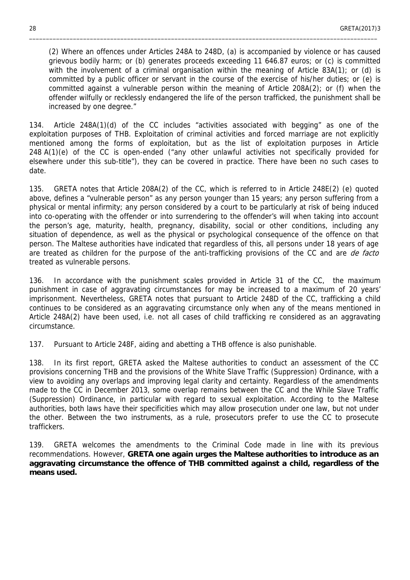(2) Where an offences under Articles 248A to 248D, (a) is accompanied by violence or has caused grievous bodily harm; or (b) generates proceeds exceeding 11 646.87 euros; or (c) is committed with the involvement of a criminal organisation within the meaning of Article 83A(1); or (d) is committed by a public officer or servant in the course of the exercise of his/her duties; or (e) is committed against a vulnerable person within the meaning of Article 208A(2); or (f) when the offender wilfully or recklessly endangered the life of the person trafficked, the punishment shall be increased by one degree."

\_\_\_\_\_\_\_\_\_\_\_\_\_\_\_\_\_\_\_\_\_\_\_\_\_\_\_\_\_\_\_\_\_\_\_\_\_\_\_\_\_\_\_\_\_\_\_\_\_\_\_\_\_\_\_\_\_\_\_\_\_\_\_\_\_\_\_\_\_\_\_\_\_\_\_\_\_\_\_\_\_\_\_\_\_\_\_\_\_\_\_\_\_\_\_\_\_\_\_\_\_\_\_

134. Article 248A(1)(d) of the CC includes "activities associated with begging" as one of the exploitation purposes of THB. Exploitation of criminal activities and forced marriage are not explicitly mentioned among the forms of exploitation, but as the list of exploitation purposes in Article 248 A(1)(e) of the CC is open-ended ("any other unlawful activities not specifically provided for elsewhere under this sub-title"), they can be covered in practice. There have been no such cases to date.

135. GRETA notes that Article 208A(2) of the CC, which is referred to in Article 248E(2) (e) quoted above, defines a "vulnerable person" as any person younger than 15 years; any person suffering from a physical or mental infirmity; any person considered by a court to be particularly at risk of being induced into co-operating with the offender or into surrendering to the offender's will when taking into account the person's age, maturity, health, pregnancy, disability, social or other conditions, including any situation of dependence, as well as the physical or psychological consequence of the offence on that person. The Maltese authorities have indicated that regardless of this, all persons under 18 years of age are treated as children for the purpose of the anti-trafficking provisions of the CC and are *de facto* treated as vulnerable persons.

136. In accordance with the punishment scales provided in Article 31 of the CC, the maximum punishment in case of aggravating circumstances for may be increased to a maximum of 20 years' imprisonment. Nevertheless, GRETA notes that pursuant to Article 248D of the CC, trafficking a child continues to be considered as an aggravating circumstance only when any of the means mentioned in Article 248A(2) have been used, i.e. not all cases of child trafficking re considered as an aggravating circumstance.

137. Pursuant to Article 248F, aiding and abetting a THB offence is also punishable.

138. In its first report, GRETA asked the Maltese authorities to conduct an assessment of the CC provisions concerning THB and the provisions of the White Slave Traffic (Suppression) Ordinance, with a view to avoiding any overlaps and improving legal clarity and certainty. Regardless of the amendments made to the CC in December 2013, some overlap remains between the CC and the While Slave Traffic (Suppression) Ordinance, in particular with regard to sexual exploitation. According to the Maltese authorities, both laws have their specificities which may allow prosecution under one law, but not under the other. Between the two instruments, as a rule, prosecutors prefer to use the CC to prosecute traffickers.

139. GRETA welcomes the amendments to the Criminal Code made in line with its previous recommendations. However, **GRETA one again urges the Maltese authorities to introduce as an aggravating circumstance the offence of THB committed against a child, regardless of the means used.**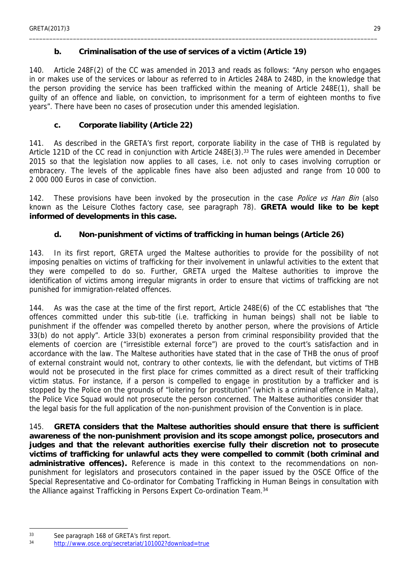#### <span id="page-28-0"></span>**b. Criminalisation of the use of services of a victim (Article 19)**

140. Article 248F(2) of the CC was amended in 2013 and reads as follows: "Any person who engages in or makes use of the services or labour as referred to in Articles 248A to 248D, in the knowledge that the person providing the service has been trafficked within the meaning of Article 248E(1), shall be guilty of an offence and liable, on conviction, to imprisonment for a term of eighteen months to five years". There have been no cases of prosecution under this amended legislation.

\_\_\_\_\_\_\_\_\_\_\_\_\_\_\_\_\_\_\_\_\_\_\_\_\_\_\_\_\_\_\_\_\_\_\_\_\_\_\_\_\_\_\_\_\_\_\_\_\_\_\_\_\_\_\_\_\_\_\_\_\_\_\_\_\_\_\_\_\_\_\_\_\_\_\_\_\_\_\_\_\_\_\_\_\_\_\_\_\_\_\_\_\_\_\_\_\_\_\_\_\_\_\_

<span id="page-28-1"></span>**c. Corporate liability (Article 22)**

141. As described in the GRETA's first report, corporate liability in the case of THB is regulated by Article 121D of the CC read in conjunction with Article 248E(3).<sup>33</sup> The rules were amended in December 2015 so that the legislation now applies to all cases, i.e. not only to cases involving corruption or embracery. The levels of the applicable fines have also been adjusted and range from 10 000 to 2 000 000 Euros in case of conviction.

142. These provisions have been invoked by the prosecution in the case *Police vs Han Bin* (also known as the Leisure Clothes factory case, see paragraph 78). **GRETA would like to be kept informed of developments in this case.**

<span id="page-28-2"></span>**d. Non-punishment of victims of trafficking in human beings (Article 26)**

143. In its first report, GRETA urged the Maltese authorities to provide for the possibility of not imposing penalties on victims of trafficking for their involvement in unlawful activities to the extent that they were compelled to do so. Further, GRETA urged the Maltese authorities to improve the identification of victims among irregular migrants in order to ensure that victims of trafficking are not punished for immigration-related offences.

144. As was the case at the time of the first report, Article 248E(6) of the CC establishes that "the offences committed under this sub-title (i.e. trafficking in human beings) shall not be liable to punishment if the offender was compelled thereto by another person, where the provisions of Article 33(b) do not apply". Article 33(b) exonerates a person from criminal responsibility provided that the elements of coercion are ("irresistible external force") are proved to the court's satisfaction and in accordance with the law. The Maltese authorities have stated that in the case of THB the onus of proof of external constraint would not, contrary to other contexts, lie with the defendant, but victims of THB would not be prosecuted in the first place for crimes committed as a direct result of their trafficking victim status. For instance, if a person is compelled to engage in prostitution by a trafficker and is stopped by the Police on the grounds of "loitering for prostitution" (which is a criminal offence in Malta), the Police Vice Squad would not prosecute the person concerned. The Maltese authorities consider that the legal basis for the full application of the non-punishment provision of the Convention is in place.

145. **GRETA considers that the Maltese authorities should ensure that there is sufficient awareness of the non-punishment provision and its scope amongst police, prosecutors and judges and that the relevant authorities exercise fully their discretion not to prosecute victims of trafficking for unlawful acts they were compelled to commit (both criminal and administrative offences).** Reference is made in this context to the recommendations on nonpunishment for legislators and prosecutors contained in the paper issued by the OSCE Office of the Special Representative and Co-ordinator for Combating Trafficking in Human Beings in consultation with the Alliance against Trafficking in Persons Expert Co-ordination Team.<sup>34</sup>

<sup>33</sup> See paragraph 168 of GRETA's first report.

<sup>34</sup> <http://www.osce.org/secretariat/101002?download=true>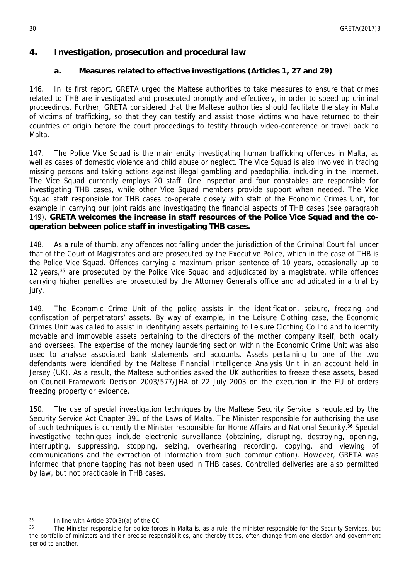#### <span id="page-29-0"></span>**4. Investigation, prosecution and procedural law**

<span id="page-29-1"></span>**a. Measures related to effective investigations (Articles 1, 27 and 29)**

\_\_\_\_\_\_\_\_\_\_\_\_\_\_\_\_\_\_\_\_\_\_\_\_\_\_\_\_\_\_\_\_\_\_\_\_\_\_\_\_\_\_\_\_\_\_\_\_\_\_\_\_\_\_\_\_\_\_\_\_\_\_\_\_\_\_\_\_\_\_\_\_\_\_\_\_\_\_\_\_\_\_\_\_\_\_\_\_\_\_\_\_\_\_\_\_\_\_\_\_\_\_\_

146. In its first report, GRETA urged the Maltese authorities to take measures to ensure that crimes related to THB are investigated and prosecuted promptly and effectively, in order to speed up criminal proceedings. Further, GRETA considered that the Maltese authorities should facilitate the stay in Malta of victims of trafficking, so that they can testify and assist those victims who have returned to their countries of origin before the court proceedings to testify through video-conference or travel back to Malta.

147. The Police Vice Squad is the main entity investigating human trafficking offences in Malta, as well as cases of domestic violence and child abuse or neglect. The Vice Squad is also involved in tracing missing persons and taking actions against illegal gambling and paedophilia, including in the Internet. The Vice Squad currently employs 20 staff. One inspector and four constables are responsible for investigating THB cases, while other Vice Squad members provide support when needed. The Vice Squad staff responsible for THB cases co-operate closely with staff of the Economic Crimes Unit, for example in carrying our joint raids and investigating the financial aspects of THB cases (see paragraph 149). **GRETA welcomes the increase in staff resources of the Police Vice Squad and the cooperation between police staff in investigating THB cases.**

148. As a rule of thumb, any offences not falling under the jurisdiction of the Criminal Court fall under that of the Court of Magistrates and are prosecuted by the Executive Police, which in the case of THB is the Police Vice Squad. Offences carrying a maximum prison sentence of 10 years, occasionally up to 12 years,<sup>35</sup> are prosecuted by the Police Vice Squad and adjudicated by a magistrate, while offences carrying higher penalties are prosecuted by the Attorney General's office and adjudicated in a trial by jury.

149. The Economic Crime Unit of the police assists in the identification, seizure, freezing and confiscation of perpetrators' assets. By way of example, in the Leisure Clothing case, the Economic Crimes Unit was called to assist in identifying assets pertaining to Leisure Clothing Co Ltd and to identify movable and immovable assets pertaining to the directors of the mother company itself, both locally and oversees. The expertise of the money laundering section within the Economic Crime Unit was also used to analyse associated bank statements and accounts. Assets pertaining to one of the two defendants were identified by the Maltese Financial Intelligence Analysis Unit in an account held in Jersey (UK). As a result, the Maltese authorities asked the UK authorities to freeze these assets, based on Council Framework Decision 2003/577/JHA of 22 July 2003 on the execution in the EU of orders freezing property or evidence.

150. The use of special investigation techniques by the Maltese Security Service is regulated by the Security Service Act Chapter 391 of the Laws of Malta. The Minister responsible for authorising the use of such techniques is currently the Minister responsible for Home Affairs and National Security.<sup>36</sup> Special investigative techniques include electronic surveillance (obtaining, disrupting, destroying, opening, interrupting, suppressing, stopping, seizing, overhearing recording, copying, and viewing of communications and the extraction of information from such communication). However, GRETA was informed that phone tapping has not been used in THB cases. Controlled deliveries are also permitted by law, but not practicable in THB cases.

 $35$  In line with Article 370(3)(a) of the CC.

<sup>&</sup>lt;sup>36</sup> The Minister responsible for police forces in Malta is, as a rule, the minister responsible for the Security Services, but the portfolio of ministers and their precise responsibilities, and thereby titles, often change from one election and government period to another.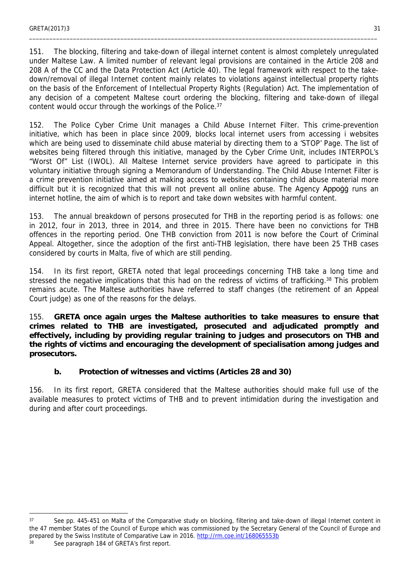151. The blocking, filtering and take-down of illegal internet content is almost completely unregulated under Maltese Law. A limited number of relevant legal provisions are contained in the Article 208 and 208 A of the CC and the Data Protection Act (Article 40). The legal framework with respect to the takedown/removal of illegal Internet content mainly relates to violations against intellectual property rights on the basis of the Enforcement of Intellectual Property Rights (Regulation) Act. The implementation of any decision of a competent Maltese court ordering the blocking, filtering and take-down of illegal content would occur through the workings of the Police.<sup>37</sup>

152. The Police Cyber Crime Unit manages a Child Abuse Internet Filter. This crime-prevention initiative, which has been in place since 2009, blocks local internet users from accessing i websites which are being used to disseminate child abuse material by directing them to a 'STOP' Page. The list of websites being filtered through this initiative, managed by the Cyber Crime Unit, includes INTERPOL's "Worst Of" List (IWOL). All Maltese Internet service providers have agreed to participate in this voluntary initiative through signing a Memorandum of Understanding. The Child Abuse Internet Filter is a crime prevention initiative aimed at making access to websites containing child abuse material more difficult but it is recognized that this will not prevent all online abuse. The Agency Appoġġ runs an internet hotline, the aim of which is to report and take down websites with harmful content.

153. The annual breakdown of persons prosecuted for THB in the reporting period is as follows: one in 2012, four in 2013, three in 2014, and three in 2015. There have been no convictions for THB offences in the reporting period. One THB conviction from 2011 is now before the Court of Criminal Appeal. Altogether, since the adoption of the first anti-THB legislation, there have been 25 THB cases considered by courts in Malta, five of which are still pending.

154. In its first report, GRETA noted that legal proceedings concerning THB take a long time and stressed the negative implications that this had on the redress of victims of trafficking.<sup>38</sup> This problem remains acute. The Maltese authorities have referred to staff changes (the retirement of an Appeal Court judge) as one of the reasons for the delays.

155. **GRETA once again urges the Maltese authorities to take measures to ensure that crimes related to THB are investigated, prosecuted and adjudicated promptly and effectively, including by providing regular training to judges and prosecutors on THB and the rights of victims and encouraging the development of specialisation among judges and prosecutors.**

<span id="page-30-0"></span>**b. Protection of witnesses and victims (Articles 28 and 30)**

156. In its first report, GRETA considered that the Maltese authorities should make full use of the available measures to protect victims of THB and to prevent intimidation during the investigation and during and after court proceedings.

<sup>37</sup> See pp. 445-451 on Malta of the Comparative study on blocking, filtering and take-down of illegal Internet content in the 47 member States of the Council of Europe which was commissioned by the Secretary General of the Council of Europe and prepared by the Swiss Institute of Comparative Law in 2016. http://rm.coe.int/168065553b 38 See paragraph 184 of GRETA's first report.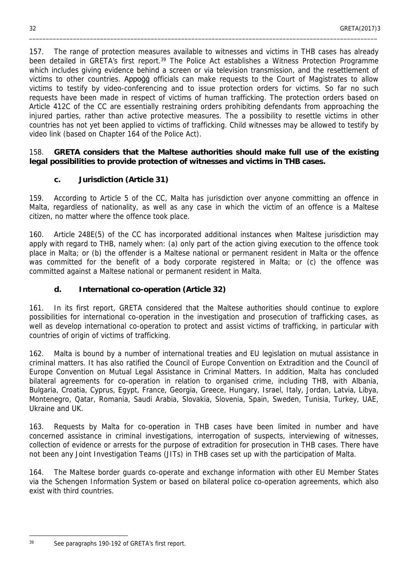157. The range of protection measures available to witnesses and victims in THB cases has already been detailed in GRETA's first report.<sup>39</sup> The Police Act establishes a Witness Protection Programme which includes giving evidence behind a screen or via television transmission, and the resettlement of victims to other countries. Appogg officials can make requests to the Court of Magistrates to allow victims to testify by video-conferencing and to issue protection orders for victims. So far no such requests have been made in respect of victims of human trafficking. The protection orders based on Article 412C of the CC are essentially restraining orders prohibiting defendants from approaching the injured parties, rather than active protective measures. The a possibility to resettle victims in other countries has not yet been applied to victims of trafficking. Child witnesses may be allowed to testify by video link (based on Chapter 164 of the Police Act).

\_\_\_\_\_\_\_\_\_\_\_\_\_\_\_\_\_\_\_\_\_\_\_\_\_\_\_\_\_\_\_\_\_\_\_\_\_\_\_\_\_\_\_\_\_\_\_\_\_\_\_\_\_\_\_\_\_\_\_\_\_\_\_\_\_\_\_\_\_\_\_\_\_\_\_\_\_\_\_\_\_\_\_\_\_\_\_\_\_\_\_\_\_\_\_\_\_\_\_\_\_\_\_

158. **GRETA considers that the Maltese authorities should make full use of the existing legal possibilities to provide protection of witnesses and victims in THB cases.**

<span id="page-31-0"></span>**c. Jurisdiction (Article 31)**

159. According to Article 5 of the CC, Malta has jurisdiction over anyone committing an offence in Malta, regardless of nationality, as well as any case in which the victim of an offence is a Maltese citizen, no matter where the offence took place.

160. Article 248E(5) of the CC has incorporated additional instances when Maltese jurisdiction may apply with regard to THB, namely when: (a) only part of the action giving execution to the offence took place in Malta; or (b) the offender is a Maltese national or permanent resident in Malta or the offence was committed for the benefit of a body corporate registered in Malta; or (c) the offence was committed against a Maltese national or permanent resident in Malta.

<span id="page-31-1"></span>**d. International co-operation (Article 32)**

161. In its first report, GRETA considered that the Maltese authorities should continue to explore possibilities for international co-operation in the investigation and prosecution of trafficking cases, as well as develop international co-operation to protect and assist victims of trafficking, in particular with countries of origin of victims of trafficking.

162. Malta is bound by a number of international treaties and EU legislation on mutual assistance in criminal matters. It has also ratified the Council of Europe Convention on Extradition and the Council of Europe Convention on Mutual Legal Assistance in Criminal Matters. In addition, Malta has concluded bilateral agreements for co-operation in relation to organised crime, including THB, with Albania, Bulgaria, Croatia, Cyprus, Egypt, France, Georgia, Greece, Hungary, Israel, Italy, Jordan, Latvia, Libya, Montenegro, Qatar, Romania, Saudi Arabia, Slovakia, Slovenia, Spain, Sweden, Tunisia, Turkey, UAE, Ukraine and UK.

163. Requests by Malta for co-operation in THB cases have been limited in number and have concerned assistance in criminal investigations, interrogation of suspects, interviewing of witnesses, collection of evidence or arrests for the purpose of extradition for prosecution in THB cases. There have not been any Joint Investigation Teams (JITs) in THB cases set up with the participation of Malta.

164. The Maltese border guards co-operate and exchange information with other EU Member States via the Schengen Information System or based on bilateral police co-operation agreements, which also exist with third countries.

<sup>39</sup> See paragraphs 190-192 of GRETA's first report.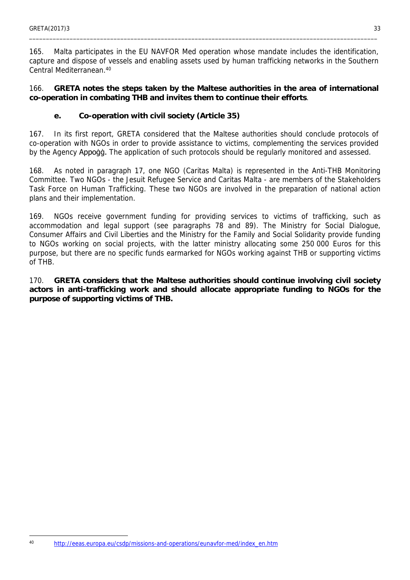165. Malta participates in the EU NAVFOR Med operation whose mandate includes the identification, capture and dispose of vessels and enabling assets used by human trafficking networks in the Southern Central Mediterranean.<sup>40</sup>

166. **GRETA notes the steps taken by the Maltese authorities in the area of international co-operation in combating THB and invites them to continue their efforts**.

<span id="page-32-0"></span>**e. Co-operation with civil society (Article 35)**

167. In its first report, GRETA considered that the Maltese authorities should conclude protocols of co-operation with NGOs in order to provide assistance to victims, complementing the services provided by the Agency Appogg. The application of such protocols should be regularly monitored and assessed.

168. As noted in paragraph 17, one NGO (Caritas Malta) is represented in the Anti-THB Monitoring Committee. Two NGOs - the Jesuit Refugee Service and Caritas Malta - are members of the Stakeholders Task Force on Human Trafficking. These two NGOs are involved in the preparation of national action plans and their implementation.

169. NGOs receive government funding for providing services to victims of trafficking, such as accommodation and legal support (see paragraphs 78 and 89). The Ministry for Social Dialogue, Consumer Affairs and Civil Liberties and the Ministry for the Family and Social Solidarity provide funding to NGOs working on social projects, with the latter ministry allocating some 250 000 Euros for this purpose, but there are no specific funds earmarked for NGOs working against THB or supporting victims of THB.

170. **GRETA considers that the Maltese authorities should continue involving civil society actors in anti-trafficking work and should allocate appropriate funding to NGOs for the purpose of supporting victims of THB.**

<sup>40</sup> [http://eeas.europa.eu/csdp/missions-and-operations/eunavfor-med/index\\_en.htm](http://eeas.europa.eu/csdp/missions-and-operations/eunavfor-med/index_en.htm)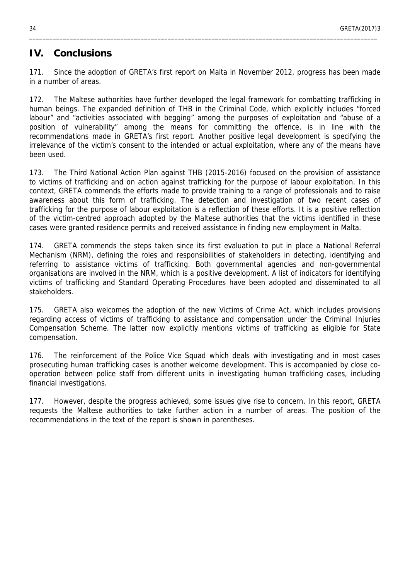### <span id="page-33-0"></span>**IV. Conclusions**

171. Since the adoption of GRETA's first report on Malta in November 2012, progress has been made in a number of areas.

\_\_\_\_\_\_\_\_\_\_\_\_\_\_\_\_\_\_\_\_\_\_\_\_\_\_\_\_\_\_\_\_\_\_\_\_\_\_\_\_\_\_\_\_\_\_\_\_\_\_\_\_\_\_\_\_\_\_\_\_\_\_\_\_\_\_\_\_\_\_\_\_\_\_\_\_\_\_\_\_\_\_\_\_\_\_\_\_\_\_\_\_\_\_\_\_\_\_\_\_\_\_\_

172. The Maltese authorities have further developed the legal framework for combatting trafficking in human beings. The expanded definition of THB in the Criminal Code, which explicitly includes "forced labour" and "activities associated with begging" among the purposes of exploitation and "abuse of a position of vulnerability" among the means for committing the offence, is in line with the recommendations made in GRETA's first report. Another positive legal development is specifying the irrelevance of the victim's consent to the intended or actual exploitation, where any of the means have been used.

173. The Third National Action Plan against THB (2015-2016) focused on the provision of assistance to victims of trafficking and on action against trafficking for the purpose of labour exploitation. In this context, GRETA commends the efforts made to provide training to a range of professionals and to raise awareness about this form of trafficking. The detection and investigation of two recent cases of trafficking for the purpose of labour exploitation is a reflection of these efforts. It is a positive reflection of the victim-centred approach adopted by the Maltese authorities that the victims identified in these cases were granted residence permits and received assistance in finding new employment in Malta.

174. GRETA commends the steps taken since its first evaluation to put in place a National Referral Mechanism (NRM), defining the roles and responsibilities of stakeholders in detecting, identifying and referring to assistance victims of trafficking. Both governmental agencies and non-governmental organisations are involved in the NRM, which is a positive development. A list of indicators for identifying victims of trafficking and Standard Operating Procedures have been adopted and disseminated to all stakeholders.

175. GRETA also welcomes the adoption of the new Victims of Crime Act, which includes provisions regarding access of victims of trafficking to assistance and compensation under the Criminal Injuries Compensation Scheme. The latter now explicitly mentions victims of trafficking as eligible for State compensation.

176. The reinforcement of the Police Vice Squad which deals with investigating and in most cases prosecuting human trafficking cases is another welcome development. This is accompanied by close cooperation between police staff from different units in investigating human trafficking cases, including financial investigations.

177. However, despite the progress achieved, some issues give rise to concern. In this report, GRETA requests the Maltese authorities to take further action in a number of areas. The position of the recommendations in the text of the report is shown in parentheses.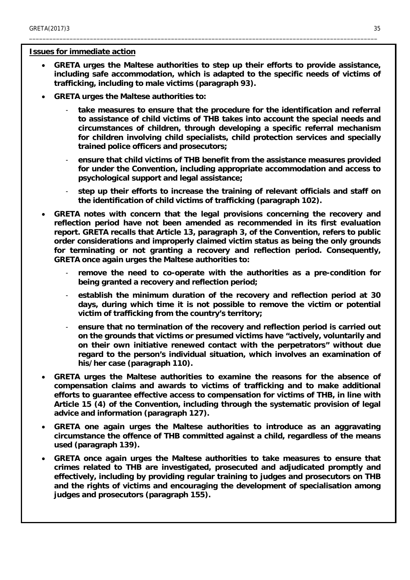#### **Issues for immediate action**

 **GRETA urges the Maltese authorities to step up their efforts to provide assistance, including safe accommodation, which is adapted to the specific needs of victims of trafficking, including to male victims (paragraph 93).**

- **GRETA urges the Maltese authorities to:**
	- take measures to ensure that the procedure for the identification and referral **to assistance of child victims of THB takes into account the special needs and circumstances of children, through developing a specific referral mechanism for children involving child specialists, child protection services and specially trained police officers and prosecutors;**
	- **ensure that child victims of THB benefit from the assistance measures provided for under the Convention, including appropriate accommodation and access to psychological support and legal assistance;**
	- step up their efforts to increase the training of relevant officials and staff on **the identification of child victims of trafficking (paragraph 102).**
- **GRETA notes with concern that the legal provisions concerning the recovery and reflection period have not been amended as recommended in its first evaluation report. GRETA recalls that Article 13, paragraph 3, of the Convention, refers to public order considerations and improperly claimed victim status as being the only grounds for terminating or not granting a recovery and reflection period. Consequently, GRETA once again urges the Maltese authorities to:**
	- **remove the need to co-operate with the authorities as a pre-condition for being granted a recovery and reflection period;**
	- **establish the minimum duration of the recovery and reflection period at 30 days, during which time it is not possible to remove the victim or potential victim of trafficking from the country's territory;**
	- **ensure that no termination of the recovery and reflection period is carried out on the grounds that victims or presumed victims have "actively, voluntarily and on their own initiative renewed contact with the perpetrators" without due regard to the person's individual situation, which involves an examination of his/her case (paragraph 110).**
- **GRETA urges the Maltese authorities to examine the reasons for the absence of compensation claims and awards to victims of trafficking and to make additional efforts to guarantee effective access to compensation for victims of THB, in line with Article 15 (4) of the Convention, including through the systematic provision of legal advice and information (paragraph 127).**
- **GRETA one again urges the Maltese authorities to introduce as an aggravating circumstance the offence of THB committed against a child, regardless of the means used (paragraph 139).**
- **GRETA once again urges the Maltese authorities to take measures to ensure that crimes related to THB are investigated, prosecuted and adjudicated promptly and effectively, including by providing regular training to judges and prosecutors on THB and the rights of victims and encouraging the development of specialisation among judges and prosecutors (paragraph 155).**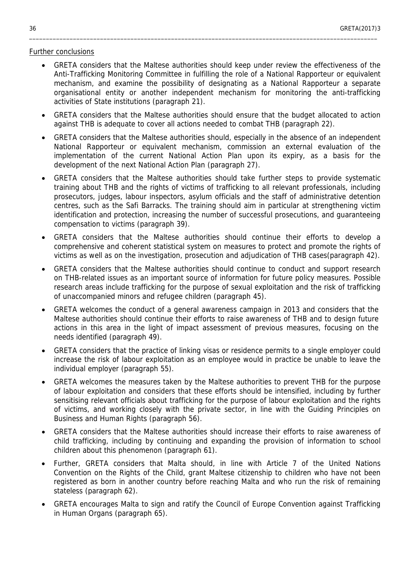#### Further conclusions

 GRETA considers that the Maltese authorities should keep under review the effectiveness of the Anti-Trafficking Monitoring Committee in fulfilling the role of a National Rapporteur or equivalent mechanism, and examine the possibility of designating as a National Rapporteur a separate organisational entity or another independent mechanism for monitoring the anti-trafficking activities of State institutions (paragraph 21).

- GRETA considers that the Maltese authorities should ensure that the budget allocated to action against THB is adequate to cover all actions needed to combat THB (paragraph 22).
- GRETA considers that the Maltese authorities should, especially in the absence of an independent National Rapporteur or equivalent mechanism, commission an external evaluation of the implementation of the current National Action Plan upon its expiry, as a basis for the development of the next National Action Plan (paragraph 27).
- GRETA considers that the Maltese authorities should take further steps to provide systematic training about THB and the rights of victims of trafficking to all relevant professionals, including prosecutors, judges, labour inspectors, asylum officials and the staff of administrative detention centres, such as the Safi Barracks. The training should aim in particular at strengthening victim identification and protection, increasing the number of successful prosecutions, and guaranteeing compensation to victims (paragraph 39).
- GRETA considers that the Maltese authorities should continue their efforts to develop a comprehensive and coherent statistical system on measures to protect and promote the rights of victims as well as on the investigation, prosecution and adjudication of THB cases(paragraph 42).
- GRETA considers that the Maltese authorities should continue to conduct and support research on THB-related issues as an important source of information for future policy measures. Possible research areas include trafficking for the purpose of sexual exploitation and the risk of trafficking of unaccompanied minors and refugee children (paragraph 45).
- GRETA welcomes the conduct of a general awareness campaign in 2013 and considers that the Maltese authorities should continue their efforts to raise awareness of THB and to design future actions in this area in the light of impact assessment of previous measures, focusing on the needs identified (paragraph 49).
- GRETA considers that the practice of linking visas or residence permits to a single employer could increase the risk of labour exploitation as an employee would in practice be unable to leave the individual employer (paragraph 55).
- GRETA welcomes the measures taken by the Maltese authorities to prevent THB for the purpose of labour exploitation and considers that these efforts should be intensified, including by further sensitising relevant officials about trafficking for the purpose of labour exploitation and the rights of victims, and working closely with the private sector, in line with the Guiding Principles on Business and Human Rights (paragraph 56).
- GRETA considers that the Maltese authorities should increase their efforts to raise awareness of child trafficking, including by continuing and expanding the provision of information to school children about this phenomenon (paragraph 61).
- Further, GRETA considers that Malta should, in line with Article 7 of the United Nations Convention on the Rights of the Child, grant Maltese citizenship to children who have not been registered as born in another country before reaching Malta and who run the risk of remaining stateless (paragraph 62).
- GRETA encourages Malta to sign and ratify the Council of Europe Convention against Trafficking in Human Organs (paragraph 65).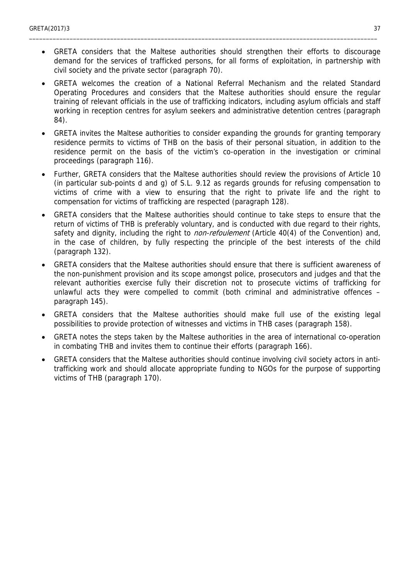GRETA considers that the Maltese authorities should strengthen their efforts to discourage demand for the services of trafficked persons, for all forms of exploitation, in partnership with civil society and the private sector (paragraph 70).

- GRETA welcomes the creation of a National Referral Mechanism and the related Standard Operating Procedures and considers that the Maltese authorities should ensure the regular training of relevant officials in the use of trafficking indicators, including asylum officials and staff working in reception centres for asylum seekers and administrative detention centres (paragraph 84).
- GRETA invites the Maltese authorities to consider expanding the grounds for granting temporary residence permits to victims of THB on the basis of their personal situation, in addition to the residence permit on the basis of the victim's co-operation in the investigation or criminal proceedings (paragraph 116).
- Further, GRETA considers that the Maltese authorities should review the provisions of Article 10 (in particular sub-points d and g) of S.L. 9.12 as regards grounds for refusing compensation to victims of crime with a view to ensuring that the right to private life and the right to compensation for victims of trafficking are respected (paragraph 128).
- GRETA considers that the Maltese authorities should continue to take steps to ensure that the return of victims of THB is preferably voluntary, and is conducted with due regard to their rights, safety and dignity, including the right to *non-refoulement* (Article 40(4) of the Convention) and, in the case of children, by fully respecting the principle of the best interests of the child (paragraph 132).
- GRETA considers that the Maltese authorities should ensure that there is sufficient awareness of the non-punishment provision and its scope amongst police, prosecutors and judges and that the relevant authorities exercise fully their discretion not to prosecute victims of trafficking for unlawful acts they were compelled to commit (both criminal and administrative offences – paragraph 145).
- GRETA considers that the Maltese authorities should make full use of the existing legal possibilities to provide protection of witnesses and victims in THB cases (paragraph 158).
- GRETA notes the steps taken by the Maltese authorities in the area of international co-operation in combating THB and invites them to continue their efforts (paragraph 166).
- GRETA considers that the Maltese authorities should continue involving civil society actors in antitrafficking work and should allocate appropriate funding to NGOs for the purpose of supporting victims of THB (paragraph 170).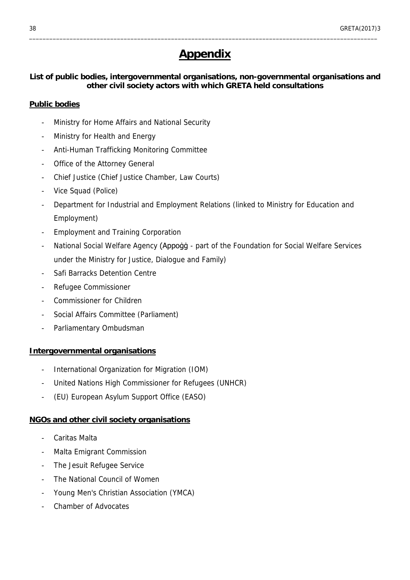# <span id="page-37-0"></span>**Appendix**

\_\_\_\_\_\_\_\_\_\_\_\_\_\_\_\_\_\_\_\_\_\_\_\_\_\_\_\_\_\_\_\_\_\_\_\_\_\_\_\_\_\_\_\_\_\_\_\_\_\_\_\_\_\_\_\_\_\_\_\_\_\_\_\_\_\_\_\_\_\_\_\_\_\_\_\_\_\_\_\_\_\_\_\_\_\_\_\_\_\_\_\_\_\_\_\_\_\_\_\_\_\_\_

**List of public bodies, intergovernmental organisations, non-governmental organisations and other civil society actors with which GRETA held consultations**

#### **Public bodies**

- Ministry for Home Affairs and National Security
- Ministry for Health and Energy
- Anti-Human Trafficking Monitoring Committee
- Office of the Attorney General
- Chief Justice (Chief Justice Chamber, Law Courts)
- Vice Squad (Police)
- Department for Industrial and Employment Relations (linked to Ministry for Education and Employment)
- Employment and Training Corporation
- National Social Welfare Agency (Appoġġ part of the Foundation for Social Welfare Services under the Ministry for Justice, Dialogue and Family)
- Safi Barracks Detention Centre
- Refugee Commissioner
- Commissioner for Children
- Social Affairs Committee (Parliament)
- Parliamentary Ombudsman

#### **Intergovernmental organisations**

- International Organization for Migration (IOM)
- United Nations High Commissioner for Refugees (UNHCR)
- (EU) European Asylum Support Office (EASO)

#### **NGOs and other civil society organisations**

- Caritas Malta
- Malta Emigrant Commission
- The Jesuit Refugee Service
- The National Council of Women
- Young Men's Christian Association (YMCA)
- Chamber of Advocates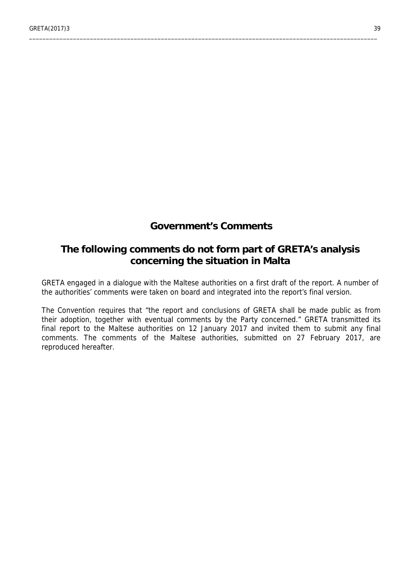# <span id="page-38-0"></span>**Government's Comments**

\_\_\_\_\_\_\_\_\_\_\_\_\_\_\_\_\_\_\_\_\_\_\_\_\_\_\_\_\_\_\_\_\_\_\_\_\_\_\_\_\_\_\_\_\_\_\_\_\_\_\_\_\_\_\_\_\_\_\_\_\_\_\_\_\_\_\_\_\_\_\_\_\_\_\_\_\_\_\_\_\_\_\_\_\_\_\_\_\_\_\_\_\_\_\_\_\_\_\_\_\_\_\_

# **The following comments do not form part of GRETA's analysis concerning the situation in Malta**

GRETA engaged in a dialogue with the Maltese authorities on a first draft of the report. A number of the authorities' comments were taken on board and integrated into the report's final version.

The Convention requires that "the report and conclusions of GRETA shall be made public as from their adoption, together with eventual comments by the Party concerned." GRETA transmitted its final report to the Maltese authorities on 12 January 2017 and invited them to submit any final comments. The comments of the Maltese authorities, submitted on 27 February 2017, are reproduced hereafter.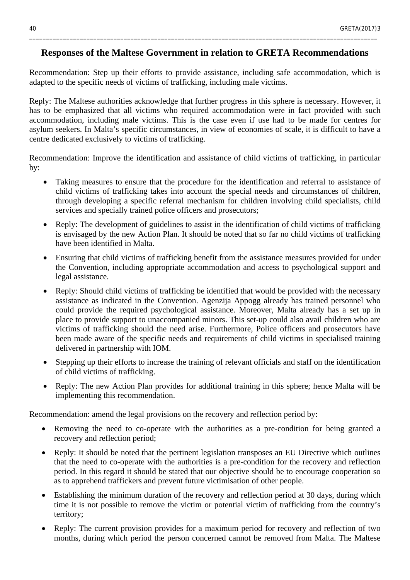#### **Responses of the Maltese Government in relation to GRETA Recommendations**

\_\_\_\_\_\_\_\_\_\_\_\_\_\_\_\_\_\_\_\_\_\_\_\_\_\_\_\_\_\_\_\_\_\_\_\_\_\_\_\_\_\_\_\_\_\_\_\_\_\_\_\_\_\_\_\_\_\_\_\_\_\_\_\_\_\_\_\_\_\_\_\_\_\_\_\_\_\_\_\_\_\_\_\_\_\_\_\_\_\_\_\_\_\_\_\_\_\_\_\_\_\_\_

Recommendation: Step up their efforts to provide assistance, including safe accommodation, which is adapted to the specific needs of victims of trafficking, including male victims.

Reply: The Maltese authorities acknowledge that further progress in this sphere is necessary. However, it has to be emphasized that all victims who required accommodation were in fact provided with such accommodation, including male victims. This is the case even if use had to be made for centres for asylum seekers. In Malta's specific circumstances, in view of economies of scale, it is difficult to have a centre dedicated exclusively to victims of trafficking.

Recommendation: Improve the identification and assistance of child victims of trafficking, in particular by:

- Taking measures to ensure that the procedure for the identification and referral to assistance of child victims of trafficking takes into account the special needs and circumstances of children, through developing a specific referral mechanism for children involving child specialists, child services and specially trained police officers and prosecutors;
- Reply: The development of guidelines to assist in the identification of child victims of trafficking is envisaged by the new Action Plan. It should be noted that so far no child victims of trafficking have been identified in Malta.
- Ensuring that child victims of trafficking benefit from the assistance measures provided for under the Convention, including appropriate accommodation and access to psychological support and legal assistance.
- Reply: Should child victims of trafficking be identified that would be provided with the necessary assistance as indicated in the Convention. Agenzija Appogg already has trained personnel who could provide the required psychological assistance. Moreover, Malta already has a set up in place to provide support to unaccompanied minors. This set-up could also avail children who are victims of trafficking should the need arise. Furthermore, Police officers and prosecutors have been made aware of the specific needs and requirements of child victims in specialised training delivered in partnership with IOM.
- Stepping up their efforts to increase the training of relevant officials and staff on the identification of child victims of trafficking.
- Reply: The new Action Plan provides for additional training in this sphere; hence Malta will be implementing this recommendation.

Recommendation: amend the legal provisions on the recovery and reflection period by:

- Removing the need to co-operate with the authorities as a pre-condition for being granted a recovery and reflection period;
- Reply: It should be noted that the pertinent legislation transposes an EU Directive which outlines that the need to co-operate with the authorities is a pre-condition for the recovery and reflection period. In this regard it should be stated that our objective should be to encourage cooperation so as to apprehend traffickers and prevent future victimisation of other people.
- Establishing the minimum duration of the recovery and reflection period at 30 days, during which time it is not possible to remove the victim or potential victim of trafficking from the country's territory;
- Reply: The current provision provides for a maximum period for recovery and reflection of two months, during which period the person concerned cannot be removed from Malta. The Maltese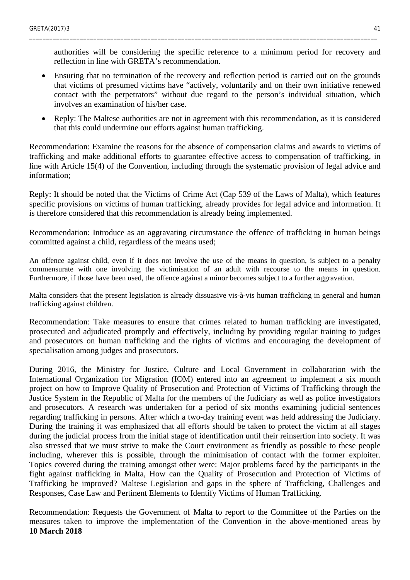authorities will be considering the specific reference to a minimum period for recovery and reflection in line with GRETA's recommendation.

\_\_\_\_\_\_\_\_\_\_\_\_\_\_\_\_\_\_\_\_\_\_\_\_\_\_\_\_\_\_\_\_\_\_\_\_\_\_\_\_\_\_\_\_\_\_\_\_\_\_\_\_\_\_\_\_\_\_\_\_\_\_\_\_\_\_\_\_\_\_\_\_\_\_\_\_\_\_\_\_\_\_\_\_\_\_\_\_\_\_\_\_\_\_\_\_\_\_\_\_\_\_\_

- Ensuring that no termination of the recovery and reflection period is carried out on the grounds that victims of presumed victims have "actively, voluntarily and on their own initiative renewed contact with the perpetrators" without due regard to the person's individual situation, which involves an examination of his/her case.
- Reply: The Maltese authorities are not in agreement with this recommendation, as it is considered that this could undermine our efforts against human trafficking.

Recommendation: Examine the reasons for the absence of compensation claims and awards to victims of trafficking and make additional efforts to guarantee effective access to compensation of trafficking, in line with Article 15(4) of the Convention, including through the systematic provision of legal advice and information;

Reply: It should be noted that the Victims of Crime Act (Cap 539 of the Laws of Malta), which features specific provisions on victims of human trafficking, already provides for legal advice and information. It is therefore considered that this recommendation is already being implemented.

Recommendation: Introduce as an aggravating circumstance the offence of trafficking in human beings committed against a child, regardless of the means used;

An offence against child, even if it does not involve the use of the means in question, is subject to a penalty commensurate with one involving the victimisation of an adult with recourse to the means in question. Furthermore, if those have been used, the offence against a minor becomes subject to a further aggravation.

Malta considers that the present legislation is already dissuasive vis-à-vis human trafficking in general and human trafficking against children.

Recommendation: Take measures to ensure that crimes related to human trafficking are investigated, prosecuted and adjudicated promptly and effectively, including by providing regular training to judges and prosecutors on human trafficking and the rights of victims and encouraging the development of specialisation among judges and prosecutors.

During 2016, the Ministry for Justice, Culture and Local Government in collaboration with the International Organization for Migration (IOM) entered into an agreement to implement a six month project on how to Improve Quality of Prosecution and Protection of Victims of Trafficking through the Justice System in the Republic of Malta for the members of the Judiciary as well as police investigators and prosecutors. A research was undertaken for a period of six months examining judicial sentences regarding trafficking in persons. After which a two-day training event was held addressing the Judiciary. During the training it was emphasized that all efforts should be taken to protect the victim at all stages during the judicial process from the initial stage of identification until their reinsertion into society. It was also stressed that we must strive to make the Court environment as friendly as possible to these people including, wherever this is possible, through the minimisation of contact with the former exploiter. Topics covered during the training amongst other were: Major problems faced by the participants in the fight against trafficking in Malta, How can the Quality of Prosecution and Protection of Victims of Trafficking be improved? Maltese Legislation and gaps in the sphere of Trafficking, Challenges and Responses, Case Law and Pertinent Elements to Identify Victims of Human Trafficking.

Recommendation: Requests the Government of Malta to report to the Committee of the Parties on the measures taken to improve the implementation of the Convention in the above-mentioned areas by **10 March 2018**